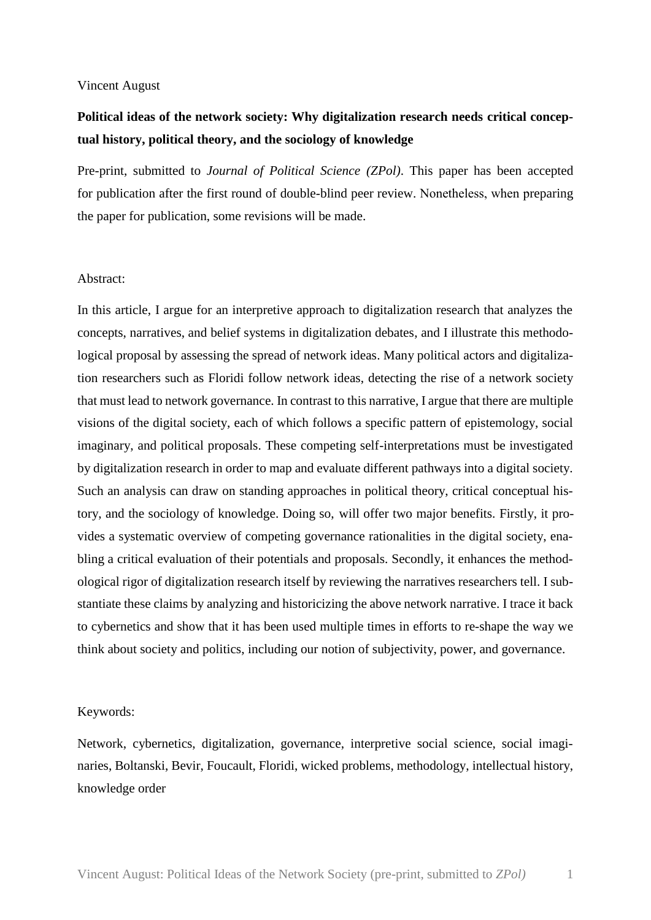#### Vincent August

# **Political ideas of the network society: Why digitalization research needs critical conceptual history, political theory, and the sociology of knowledge**

Pre-print, submitted to *Journal of Political Science (ZPol)*. This paper has been accepted for publication after the first round of double-blind peer review. Nonetheless, when preparing the paper for publication, some revisions will be made.

#### Abstract:

In this article, I argue for an interpretive approach to digitalization research that analyzes the concepts, narratives, and belief systems in digitalization debates, and I illustrate this methodological proposal by assessing the spread of network ideas. Many political actors and digitalization researchers such as Floridi follow network ideas, detecting the rise of a network society that must lead to network governance. In contrast to this narrative, I argue that there are multiple visions of the digital society, each of which follows a specific pattern of epistemology, social imaginary, and political proposals. These competing self-interpretations must be investigated by digitalization research in order to map and evaluate different pathways into a digital society. Such an analysis can draw on standing approaches in political theory, critical conceptual history, and the sociology of knowledge. Doing so, will offer two major benefits. Firstly, it provides a systematic overview of competing governance rationalities in the digital society, enabling a critical evaluation of their potentials and proposals. Secondly, it enhances the methodological rigor of digitalization research itself by reviewing the narratives researchers tell. I substantiate these claims by analyzing and historicizing the above network narrative. I trace it back to cybernetics and show that it has been used multiple times in efforts to re-shape the way we think about society and politics, including our notion of subjectivity, power, and governance.

#### Keywords:

Network, cybernetics, digitalization, governance, interpretive social science, social imaginaries, Boltanski, Bevir, Foucault, Floridi, wicked problems, methodology, intellectual history, knowledge order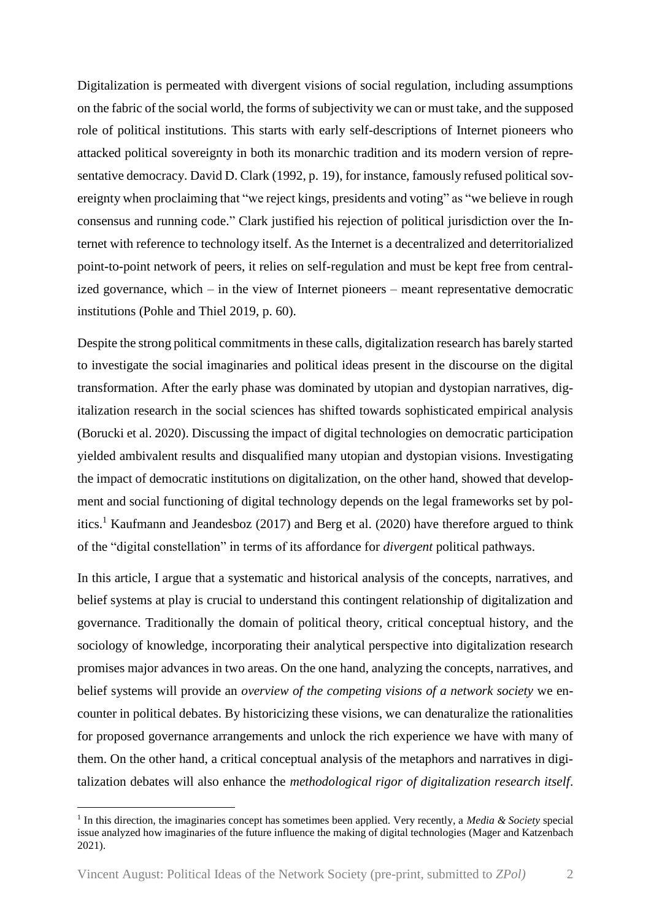Digitalization is permeated with divergent visions of social regulation, including assumptions on the fabric of the social world, the forms of subjectivity we can or must take, and the supposed role of political institutions. This starts with early self-descriptions of Internet pioneers who attacked political sovereignty in both its monarchic tradition and its modern version of representative democracy. David D. Clark (1992, p. 19), for instance, famously refused political sovereignty when proclaiming that "we reject kings, presidents and voting" as "we believe in rough consensus and running code." Clark justified his rejection of political jurisdiction over the Internet with reference to technology itself. As the Internet is a decentralized and deterritorialized point-to-point network of peers, it relies on self-regulation and must be kept free from centralized governance, which – in the view of Internet pioneers – meant representative democratic institutions (Pohle and Thiel 2019, p. 60).

Despite the strong political commitments in these calls, digitalization research has barely started to investigate the social imaginaries and political ideas present in the discourse on the digital transformation. After the early phase was dominated by utopian and dystopian narratives, digitalization research in the social sciences has shifted towards sophisticated empirical analysis (Borucki et al. 2020). Discussing the impact of digital technologies on democratic participation yielded ambivalent results and disqualified many utopian and dystopian visions. Investigating the impact of democratic institutions on digitalization, on the other hand, showed that development and social functioning of digital technology depends on the legal frameworks set by politics.<sup>1</sup> Kaufmann and Jeandesboz (2017) and Berg et al. (2020) have therefore argued to think of the "digital constellation" in terms of its affordance for *divergent* political pathways.

In this article, I argue that a systematic and historical analysis of the concepts, narratives, and belief systems at play is crucial to understand this contingent relationship of digitalization and governance. Traditionally the domain of political theory, critical conceptual history, and the sociology of knowledge, incorporating their analytical perspective into digitalization research promises major advances in two areas. On the one hand, analyzing the concepts, narratives, and belief systems will provide an *overview of the competing visions of a network society* we encounter in political debates. By historicizing these visions, we can denaturalize the rationalities for proposed governance arrangements and unlock the rich experience we have with many of them. On the other hand, a critical conceptual analysis of the metaphors and narratives in digitalization debates will also enhance the *methodological rigor of digitalization research itself*.

<sup>&</sup>lt;sup>1</sup> In this direction, the imaginaries concept has sometimes been applied. Very recently, a *Media & Society* special issue analyzed how imaginaries of the future influence the making of digital technologies (Mager and Katzenbach 2021).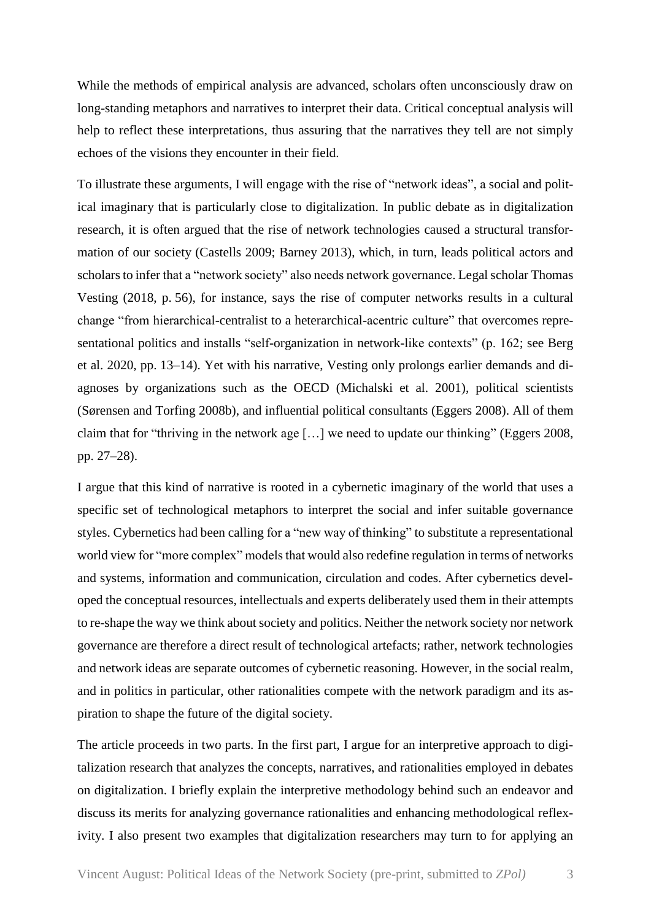While the methods of empirical analysis are advanced, scholars often unconsciously draw on long-standing metaphors and narratives to interpret their data. Critical conceptual analysis will help to reflect these interpretations, thus assuring that the narratives they tell are not simply echoes of the visions they encounter in their field.

To illustrate these arguments, I will engage with the rise of "network ideas", a social and political imaginary that is particularly close to digitalization. In public debate as in digitalization research, it is often argued that the rise of network technologies caused a structural transformation of our society (Castells 2009; Barney 2013), which, in turn, leads political actors and scholars to infer that a "network society" also needs network governance. Legal scholar Thomas Vesting (2018, p. 56), for instance, says the rise of computer networks results in a cultural change "from hierarchical-centralist to a heterarchical-acentric culture" that overcomes representational politics and installs "self-organization in network-like contexts" (p. 162; see Berg et al. 2020, pp. 13–14). Yet with his narrative, Vesting only prolongs earlier demands and diagnoses by organizations such as the OECD (Michalski et al. 2001), political scientists (Sørensen and Torfing 2008b), and influential political consultants (Eggers 2008). All of them claim that for "thriving in the network age […] we need to update our thinking" (Eggers 2008, pp. 27–28).

I argue that this kind of narrative is rooted in a cybernetic imaginary of the world that uses a specific set of technological metaphors to interpret the social and infer suitable governance styles. Cybernetics had been calling for a "new way of thinking" to substitute a representational world view for "more complex" models that would also redefine regulation in terms of networks and systems, information and communication, circulation and codes. After cybernetics developed the conceptual resources, intellectuals and experts deliberately used them in their attempts to re-shape the way we think about society and politics. Neither the network society nor network governance are therefore a direct result of technological artefacts; rather, network technologies and network ideas are separate outcomes of cybernetic reasoning. However, in the social realm, and in politics in particular, other rationalities compete with the network paradigm and its aspiration to shape the future of the digital society.

The article proceeds in two parts. In the first part, I argue for an interpretive approach to digitalization research that analyzes the concepts, narratives, and rationalities employed in debates on digitalization. I briefly explain the interpretive methodology behind such an endeavor and discuss its merits for analyzing governance rationalities and enhancing methodological reflexivity. I also present two examples that digitalization researchers may turn to for applying an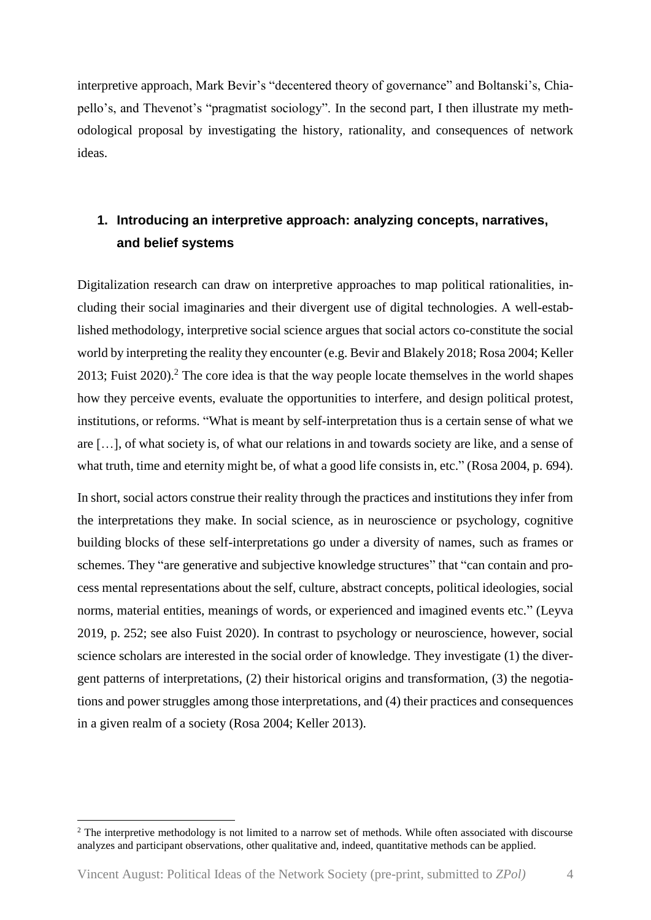interpretive approach, Mark Bevir's "decentered theory of governance" and Boltanski's, Chiapello's, and Thevenot's "pragmatist sociology". In the second part, I then illustrate my methodological proposal by investigating the history, rationality, and consequences of network ideas.

# **1. Introducing an interpretive approach: analyzing concepts, narratives, and belief systems**

Digitalization research can draw on interpretive approaches to map political rationalities, including their social imaginaries and their divergent use of digital technologies. A well-established methodology, interpretive social science argues that social actors co-constitute the social world by interpreting the reality they encounter (e.g. Bevir and Blakely 2018; Rosa 2004; Keller 2013; Fuist  $2020$ ).<sup>2</sup> The core idea is that the way people locate themselves in the world shapes how they perceive events, evaluate the opportunities to interfere, and design political protest, institutions, or reforms. "What is meant by self-interpretation thus is a certain sense of what we are […], of what society is, of what our relations in and towards society are like, and a sense of what truth, time and eternity might be, of what a good life consists in, etc." (Rosa 2004, p. 694).

In short, social actors construe their reality through the practices and institutions they infer from the interpretations they make. In social science, as in neuroscience or psychology, cognitive building blocks of these self-interpretations go under a diversity of names, such as frames or schemes. They "are generative and subjective knowledge structures" that "can contain and process mental representations about the self, culture, abstract concepts, political ideologies, social norms, material entities, meanings of words, or experienced and imagined events etc." (Leyva 2019, p. 252; see also Fuist 2020). In contrast to psychology or neuroscience, however, social science scholars are interested in the social order of knowledge. They investigate (1) the divergent patterns of interpretations, (2) their historical origins and transformation, (3) the negotiations and power struggles among those interpretations, and (4) their practices and consequences in a given realm of a society (Rosa 2004; Keller 2013).

<sup>&</sup>lt;sup>2</sup> The interpretive methodology is not limited to a narrow set of methods. While often associated with discourse analyzes and participant observations, other qualitative and, indeed, quantitative methods can be applied.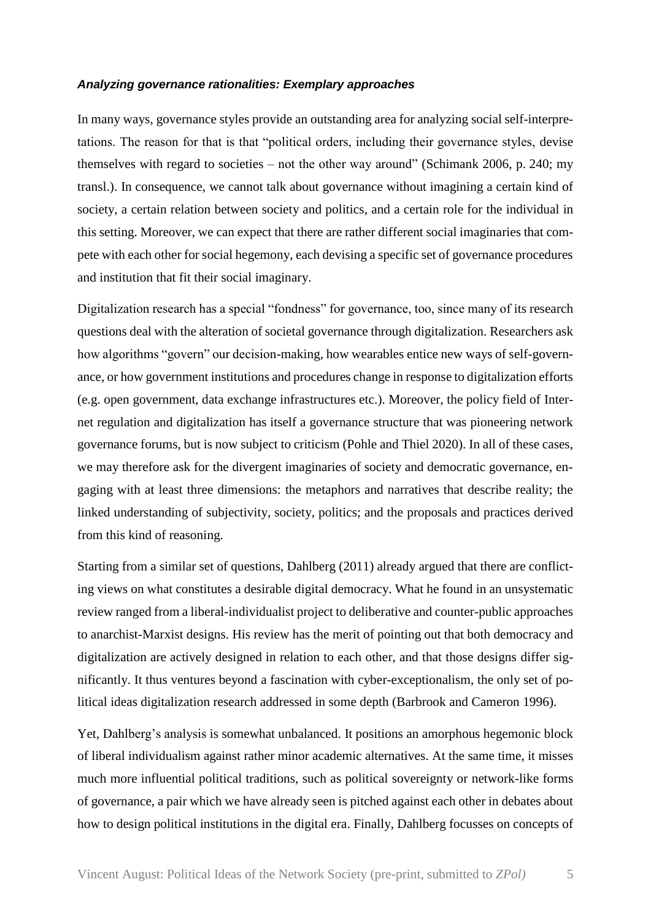#### *Analyzing governance rationalities: Exemplary approaches*

In many ways, governance styles provide an outstanding area for analyzing social self-interpretations. The reason for that is that "political orders, including their governance styles, devise themselves with regard to societies – not the other way around" (Schimank 2006, p. 240; my transl.). In consequence, we cannot talk about governance without imagining a certain kind of society, a certain relation between society and politics, and a certain role for the individual in this setting. Moreover, we can expect that there are rather different social imaginaries that compete with each other for social hegemony, each devising a specific set of governance procedures and institution that fit their social imaginary.

Digitalization research has a special "fondness" for governance, too, since many of its research questions deal with the alteration of societal governance through digitalization. Researchers ask how algorithms "govern" our decision-making, how wearables entice new ways of self-governance, or how government institutions and procedures change in response to digitalization efforts (e.g. open government, data exchange infrastructures etc.). Moreover, the policy field of Internet regulation and digitalization has itself a governance structure that was pioneering network governance forums, but is now subject to criticism (Pohle and Thiel 2020). In all of these cases, we may therefore ask for the divergent imaginaries of society and democratic governance, engaging with at least three dimensions: the metaphors and narratives that describe reality; the linked understanding of subjectivity, society, politics; and the proposals and practices derived from this kind of reasoning.

Starting from a similar set of questions, Dahlberg (2011) already argued that there are conflicting views on what constitutes a desirable digital democracy. What he found in an unsystematic review ranged from a liberal-individualist project to deliberative and counter-public approaches to anarchist-Marxist designs. His review has the merit of pointing out that both democracy and digitalization are actively designed in relation to each other, and that those designs differ significantly. It thus ventures beyond a fascination with cyber-exceptionalism, the only set of political ideas digitalization research addressed in some depth (Barbrook and Cameron 1996).

Yet, Dahlberg's analysis is somewhat unbalanced. It positions an amorphous hegemonic block of liberal individualism against rather minor academic alternatives. At the same time, it misses much more influential political traditions, such as political sovereignty or network-like forms of governance, a pair which we have already seen is pitched against each other in debates about how to design political institutions in the digital era. Finally, Dahlberg focusses on concepts of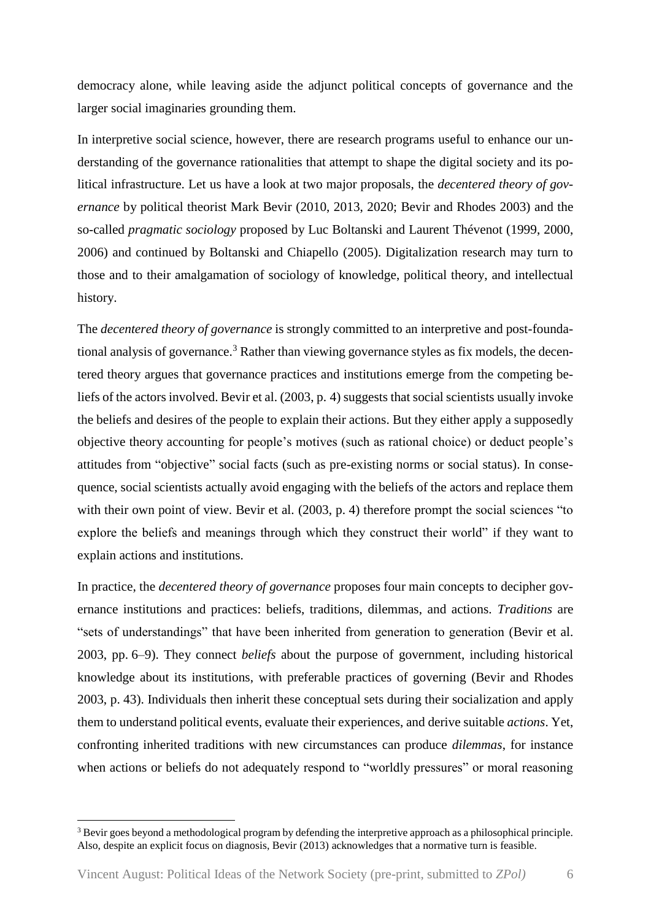democracy alone, while leaving aside the adjunct political concepts of governance and the larger social imaginaries grounding them.

In interpretive social science, however, there are research programs useful to enhance our understanding of the governance rationalities that attempt to shape the digital society and its political infrastructure. Let us have a look at two major proposals, the *decentered theory of governance* by political theorist Mark Bevir (2010, 2013, 2020; Bevir and Rhodes 2003) and the so-called *pragmatic sociology* proposed by Luc Boltanski and Laurent Thévenot (1999, 2000, 2006) and continued by Boltanski and Chiapello (2005). Digitalization research may turn to those and to their amalgamation of sociology of knowledge, political theory, and intellectual history.

The *decentered theory of governance* is strongly committed to an interpretive and post-foundational analysis of governance.<sup>3</sup> Rather than viewing governance styles as fix models, the decentered theory argues that governance practices and institutions emerge from the competing beliefs of the actors involved. Bevir et al. (2003, p. 4) suggests that social scientists usually invoke the beliefs and desires of the people to explain their actions. But they either apply a supposedly objective theory accounting for people's motives (such as rational choice) or deduct people's attitudes from "objective" social facts (such as pre-existing norms or social status). In consequence, social scientists actually avoid engaging with the beliefs of the actors and replace them with their own point of view. Bevir et al. (2003, p. 4) therefore prompt the social sciences "to explore the beliefs and meanings through which they construct their world" if they want to explain actions and institutions.

In practice, the *decentered theory of governance* proposes four main concepts to decipher governance institutions and practices: beliefs, traditions, dilemmas, and actions. *Traditions* are "sets of understandings" that have been inherited from generation to generation (Bevir et al. 2003, pp. 6–9). They connect *beliefs* about the purpose of government, including historical knowledge about its institutions, with preferable practices of governing (Bevir and Rhodes 2003, p. 43). Individuals then inherit these conceptual sets during their socialization and apply them to understand political events, evaluate their experiences, and derive suitable *actions*. Yet, confronting inherited traditions with new circumstances can produce *dilemmas*, for instance when actions or beliefs do not adequately respond to "worldly pressures" or moral reasoning

<sup>&</sup>lt;sup>3</sup> Bevir goes beyond a methodological program by defending the interpretive approach as a philosophical principle. Also, despite an explicit focus on diagnosis, Bevir (2013) acknowledges that a normative turn is feasible.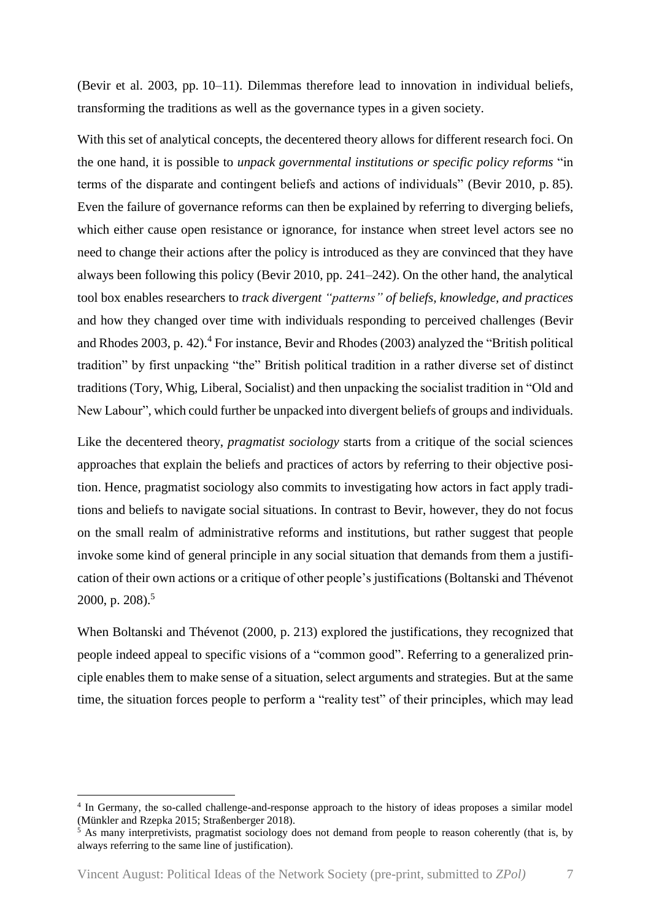(Bevir et al. 2003, pp. 10–11). Dilemmas therefore lead to innovation in individual beliefs, transforming the traditions as well as the governance types in a given society.

With this set of analytical concepts, the decentered theory allows for different research foci. On the one hand, it is possible to *unpack governmental institutions or specific policy reforms* "in terms of the disparate and contingent beliefs and actions of individuals" (Bevir 2010, p. 85). Even the failure of governance reforms can then be explained by referring to diverging beliefs, which either cause open resistance or ignorance, for instance when street level actors see no need to change their actions after the policy is introduced as they are convinced that they have always been following this policy (Bevir 2010, pp. 241–242). On the other hand, the analytical tool box enables researchers to *track divergent "patterns" of beliefs, knowledge, and practices* and how they changed over time with individuals responding to perceived challenges (Bevir and Rhodes 2003, p. 42). <sup>4</sup> For instance, Bevir and Rhodes (2003) analyzed the "British political tradition" by first unpacking "the" British political tradition in a rather diverse set of distinct traditions (Tory, Whig, Liberal, Socialist) and then unpacking the socialist tradition in "Old and New Labour", which could further be unpacked into divergent beliefs of groups and individuals.

Like the decentered theory, *pragmatist sociology* starts from a critique of the social sciences approaches that explain the beliefs and practices of actors by referring to their objective position. Hence, pragmatist sociology also commits to investigating how actors in fact apply traditions and beliefs to navigate social situations. In contrast to Bevir, however, they do not focus on the small realm of administrative reforms and institutions, but rather suggest that people invoke some kind of general principle in any social situation that demands from them a justification of their own actions or a critique of other people's justifications (Boltanski and Thévenot 2000, p. 208). 5

When Boltanski and Thévenot (2000, p. 213) explored the justifications, they recognized that people indeed appeal to specific visions of a "common good". Referring to a generalized principle enables them to make sense of a situation, select arguments and strategies. But at the same time, the situation forces people to perform a "reality test" of their principles, which may lead

<sup>4</sup> In Germany, the so-called challenge-and-response approach to the history of ideas proposes a similar model (Münkler and Rzepka 2015; Straßenberger 2018).

<sup>&</sup>lt;sup>5</sup> As many interpretivists, pragmatist sociology does not demand from people to reason coherently (that is, by always referring to the same line of justification).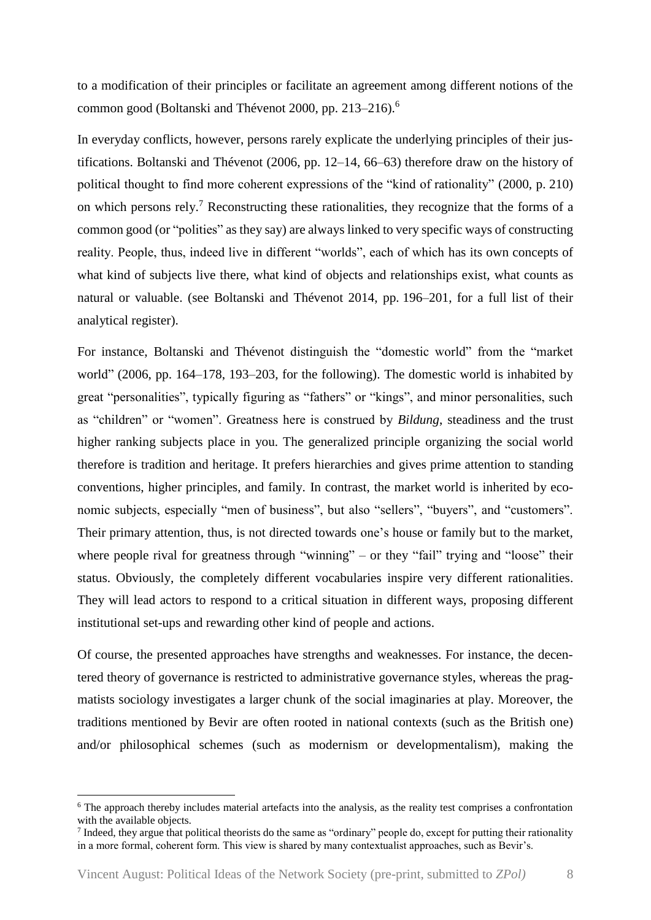to a modification of their principles or facilitate an agreement among different notions of the common good (Boltanski and Thévenot 2000, pp. 213–216). 6

In everyday conflicts, however, persons rarely explicate the underlying principles of their justifications. Boltanski and Thévenot (2006, pp. 12–14, 66–63) therefore draw on the history of political thought to find more coherent expressions of the "kind of rationality" (2000, p. 210) on which persons rely.<sup>7</sup> Reconstructing these rationalities, they recognize that the forms of a common good (or "polities" as they say) are always linked to very specific ways of constructing reality. People, thus, indeed live in different "worlds", each of which has its own concepts of what kind of subjects live there, what kind of objects and relationships exist, what counts as natural or valuable. (see Boltanski and Thévenot 2014, pp. 196–201, for a full list of their analytical register).

For instance, Boltanski and Thévenot distinguish the "domestic world" from the "market world" (2006, pp. 164–178, 193–203, for the following). The domestic world is inhabited by great "personalities", typically figuring as "fathers" or "kings", and minor personalities, such as "children" or "women". Greatness here is construed by *Bildung*, steadiness and the trust higher ranking subjects place in you. The generalized principle organizing the social world therefore is tradition and heritage. It prefers hierarchies and gives prime attention to standing conventions, higher principles, and family. In contrast, the market world is inherited by economic subjects, especially "men of business", but also "sellers", "buyers", and "customers". Their primary attention, thus, is not directed towards one's house or family but to the market, where people rival for greatness through "winning" – or they "fail" trying and "loose" their status. Obviously, the completely different vocabularies inspire very different rationalities. They will lead actors to respond to a critical situation in different ways, proposing different institutional set-ups and rewarding other kind of people and actions.

Of course, the presented approaches have strengths and weaknesses. For instance, the decentered theory of governance is restricted to administrative governance styles, whereas the pragmatists sociology investigates a larger chunk of the social imaginaries at play. Moreover, the traditions mentioned by Bevir are often rooted in national contexts (such as the British one) and/or philosophical schemes (such as modernism or developmentalism), making the

 $6$  The approach thereby includes material artefacts into the analysis, as the reality test comprises a confrontation with the available objects.

 $<sup>7</sup>$  Indeed, they argue that political theorists do the same as "ordinary" people do, except for putting their rationality</sup> in a more formal, coherent form. This view is shared by many contextualist approaches, such as Bevir's.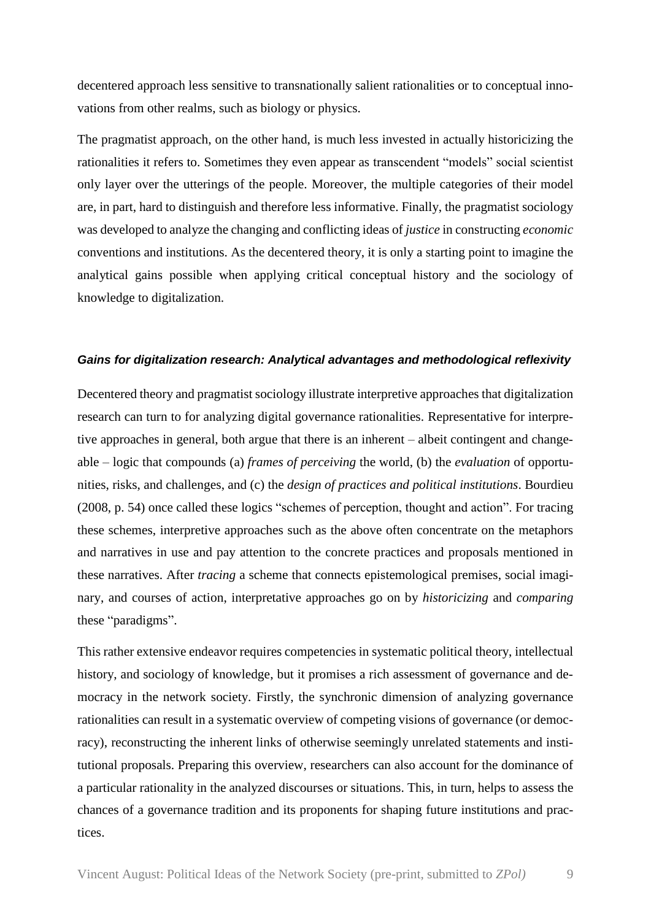decentered approach less sensitive to transnationally salient rationalities or to conceptual innovations from other realms, such as biology or physics.

The pragmatist approach, on the other hand, is much less invested in actually historicizing the rationalities it refers to. Sometimes they even appear as transcendent "models" social scientist only layer over the utterings of the people. Moreover, the multiple categories of their model are, in part, hard to distinguish and therefore less informative. Finally, the pragmatist sociology was developed to analyze the changing and conflicting ideas of *justice* in constructing *economic* conventions and institutions. As the decentered theory, it is only a starting point to imagine the analytical gains possible when applying critical conceptual history and the sociology of knowledge to digitalization.

### *Gains for digitalization research: Analytical advantages and methodological reflexivity*

Decentered theory and pragmatist sociology illustrate interpretive approaches that digitalization research can turn to for analyzing digital governance rationalities. Representative for interpretive approaches in general, both argue that there is an inherent – albeit contingent and changeable – logic that compounds (a) *frames of perceiving* the world, (b) the *evaluation* of opportunities, risks, and challenges, and (c) the *design of practices and political institutions*. Bourdieu (2008, p. 54) once called these logics "schemes of perception, thought and action". For tracing these schemes, interpretive approaches such as the above often concentrate on the metaphors and narratives in use and pay attention to the concrete practices and proposals mentioned in these narratives. After *tracing* a scheme that connects epistemological premises, social imaginary, and courses of action, interpretative approaches go on by *historicizing* and *comparing* these "paradigms".

This rather extensive endeavor requires competencies in systematic political theory, intellectual history, and sociology of knowledge, but it promises a rich assessment of governance and democracy in the network society. Firstly, the synchronic dimension of analyzing governance rationalities can result in a systematic overview of competing visions of governance (or democracy), reconstructing the inherent links of otherwise seemingly unrelated statements and institutional proposals. Preparing this overview, researchers can also account for the dominance of a particular rationality in the analyzed discourses or situations. This, in turn, helps to assess the chances of a governance tradition and its proponents for shaping future institutions and practices.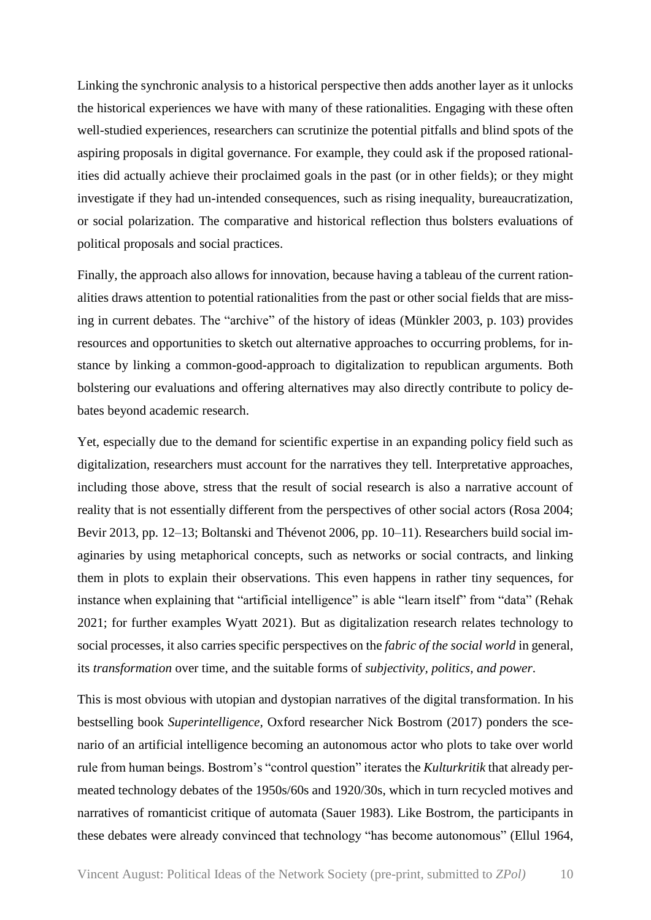Linking the synchronic analysis to a historical perspective then adds another layer as it unlocks the historical experiences we have with many of these rationalities. Engaging with these often well-studied experiences, researchers can scrutinize the potential pitfalls and blind spots of the aspiring proposals in digital governance. For example, they could ask if the proposed rationalities did actually achieve their proclaimed goals in the past (or in other fields); or they might investigate if they had un-intended consequences, such as rising inequality, bureaucratization, or social polarization. The comparative and historical reflection thus bolsters evaluations of political proposals and social practices.

Finally*,* the approach also allows for innovation, because having a tableau of the current rationalities draws attention to potential rationalities from the past or other social fields that are missing in current debates. The "archive" of the history of ideas (Münkler 2003, p. 103) provides resources and opportunities to sketch out alternative approaches to occurring problems, for instance by linking a common-good-approach to digitalization to republican arguments. Both bolstering our evaluations and offering alternatives may also directly contribute to policy debates beyond academic research.

Yet, especially due to the demand for scientific expertise in an expanding policy field such as digitalization, researchers must account for the narratives they tell. Interpretative approaches, including those above, stress that the result of social research is also a narrative account of reality that is not essentially different from the perspectives of other social actors (Rosa 2004; Bevir 2013, pp. 12–13; Boltanski and Thévenot 2006, pp. 10–11). Researchers build social imaginaries by using metaphorical concepts, such as networks or social contracts, and linking them in plots to explain their observations. This even happens in rather tiny sequences, for instance when explaining that "artificial intelligence" is able "learn itself" from "data" (Rehak 2021; for further examples Wyatt 2021). But as digitalization research relates technology to social processes, it also carries specific perspectives on the *fabric of the social world* in general, its *transformation* over time, and the suitable forms of *subjectivity, politics, and power*.

This is most obvious with utopian and dystopian narratives of the digital transformation. In his bestselling book *Superintelligence,* Oxford researcher Nick Bostrom (2017) ponders the scenario of an artificial intelligence becoming an autonomous actor who plots to take over world rule from human beings. Bostrom's "control question" iterates the *Kulturkritik* that already permeated technology debates of the 1950s/60s and 1920/30s, which in turn recycled motives and narratives of romanticist critique of automata (Sauer 1983). Like Bostrom, the participants in these debates were already convinced that technology "has become autonomous" (Ellul 1964,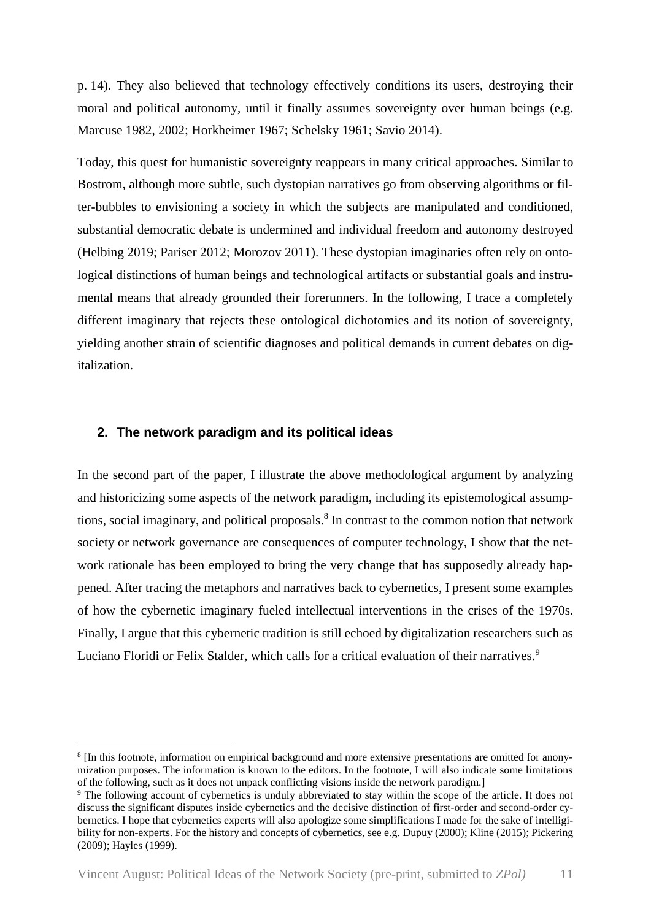p. 14). They also believed that technology effectively conditions its users, destroying their moral and political autonomy, until it finally assumes sovereignty over human beings (e.g. Marcuse 1982, 2002; Horkheimer 1967; Schelsky 1961; Savio 2014).

Today, this quest for humanistic sovereignty reappears in many critical approaches. Similar to Bostrom, although more subtle, such dystopian narratives go from observing algorithms or filter-bubbles to envisioning a society in which the subjects are manipulated and conditioned, substantial democratic debate is undermined and individual freedom and autonomy destroyed (Helbing 2019; Pariser 2012; Morozov 2011). These dystopian imaginaries often rely on ontological distinctions of human beings and technological artifacts or substantial goals and instrumental means that already grounded their forerunners. In the following, I trace a completely different imaginary that rejects these ontological dichotomies and its notion of sovereignty, yielding another strain of scientific diagnoses and political demands in current debates on digitalization.

#### **2. The network paradigm and its political ideas**

1

In the second part of the paper, I illustrate the above methodological argument by analyzing and historicizing some aspects of the network paradigm, including its epistemological assumptions, social imaginary, and political proposals. 8 In contrast to the common notion that network society or network governance are consequences of computer technology, I show that the network rationale has been employed to bring the very change that has supposedly already happened. After tracing the metaphors and narratives back to cybernetics, I present some examples of how the cybernetic imaginary fueled intellectual interventions in the crises of the 1970s. Finally, I argue that this cybernetic tradition is still echoed by digitalization researchers such as Luciano Floridi or Felix Stalder, which calls for a critical evaluation of their narratives.<sup>9</sup>

<sup>&</sup>lt;sup>8</sup> [In this footnote, information on empirical background and more extensive presentations are omitted for anonymization purposes. The information is known to the editors. In the footnote, I will also indicate some limitations of the following, such as it does not unpack conflicting visions inside the network paradigm.]

<sup>&</sup>lt;sup>9</sup> The following account of cybernetics is unduly abbreviated to stay within the scope of the article. It does not discuss the significant disputes inside cybernetics and the decisive distinction of first-order and second-order cybernetics. I hope that cybernetics experts will also apologize some simplifications I made for the sake of intelligibility for non-experts. For the history and concepts of cybernetics, see e.g. Dupuy (2000); Kline (2015); Pickering (2009); Hayles (1999).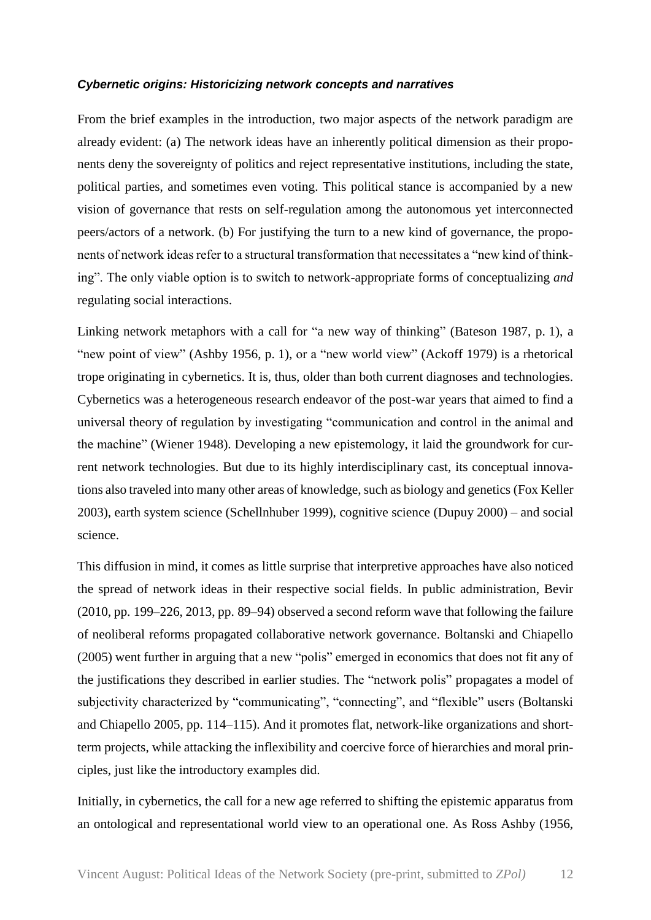#### *Cybernetic origins: Historicizing network concepts and narratives*

From the brief examples in the introduction, two major aspects of the network paradigm are already evident: (a) The network ideas have an inherently political dimension as their proponents deny the sovereignty of politics and reject representative institutions, including the state, political parties, and sometimes even voting. This political stance is accompanied by a new vision of governance that rests on self-regulation among the autonomous yet interconnected peers/actors of a network. (b) For justifying the turn to a new kind of governance, the proponents of network ideas refer to a structural transformation that necessitates a "new kind of thinking". The only viable option is to switch to network-appropriate forms of conceptualizing *and* regulating social interactions.

Linking network metaphors with a call for "a new way of thinking" (Bateson 1987, p. 1), a "new point of view" (Ashby 1956, p. 1), or a "new world view" (Ackoff 1979) is a rhetorical trope originating in cybernetics. It is, thus, older than both current diagnoses and technologies. Cybernetics was a heterogeneous research endeavor of the post-war years that aimed to find a universal theory of regulation by investigating "communication and control in the animal and the machine" (Wiener 1948). Developing a new epistemology, it laid the groundwork for current network technologies. But due to its highly interdisciplinary cast, its conceptual innovations also traveled into many other areas of knowledge, such as biology and genetics (Fox Keller 2003), earth system science (Schellnhuber 1999), cognitive science (Dupuy 2000) – and social science.

This diffusion in mind, it comes as little surprise that interpretive approaches have also noticed the spread of network ideas in their respective social fields. In public administration, Bevir (2010, pp. 199–226, 2013, pp. 89–94) observed a second reform wave that following the failure of neoliberal reforms propagated collaborative network governance. Boltanski and Chiapello (2005) went further in arguing that a new "polis" emerged in economics that does not fit any of the justifications they described in earlier studies. The "network polis" propagates a model of subjectivity characterized by "communicating", "connecting", and "flexible" users (Boltanski and Chiapello 2005, pp. 114–115). And it promotes flat, network-like organizations and shortterm projects, while attacking the inflexibility and coercive force of hierarchies and moral principles, just like the introductory examples did.

Initially, in cybernetics, the call for a new age referred to shifting the epistemic apparatus from an ontological and representational world view to an operational one. As Ross Ashby (1956,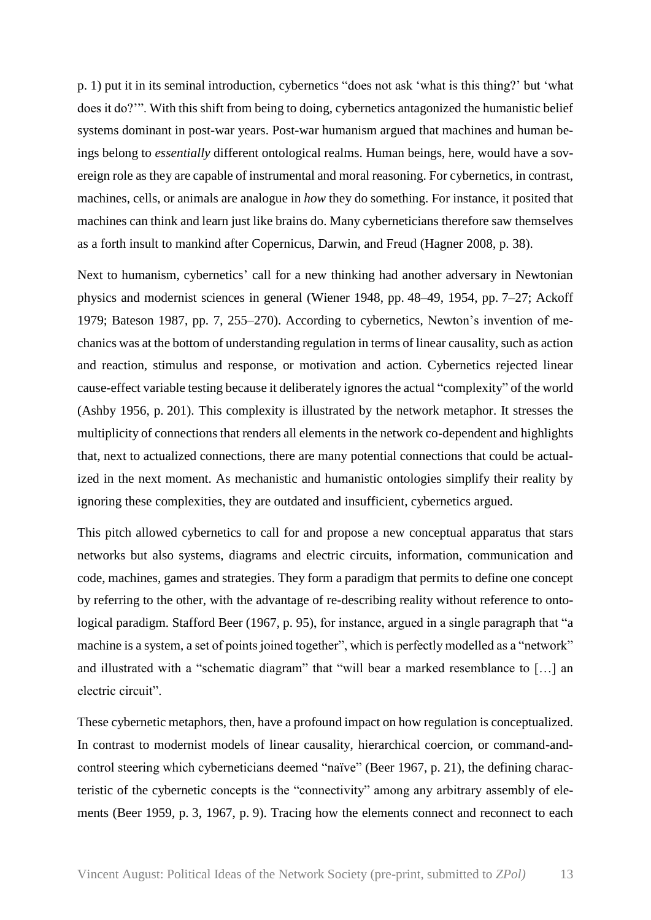p. 1) put it in its seminal introduction, cybernetics "does not ask 'what is this thing?' but 'what does it do?'". With this shift from being to doing, cybernetics antagonized the humanistic belief systems dominant in post-war years. Post-war humanism argued that machines and human beings belong to *essentially* different ontological realms. Human beings, here, would have a sovereign role as they are capable of instrumental and moral reasoning. For cybernetics, in contrast, machines, cells, or animals are analogue in *how* they do something. For instance, it posited that machines can think and learn just like brains do. Many cyberneticians therefore saw themselves as a forth insult to mankind after Copernicus, Darwin, and Freud (Hagner 2008, p. 38).

Next to humanism, cybernetics' call for a new thinking had another adversary in Newtonian physics and modernist sciences in general (Wiener 1948, pp. 48–49, 1954, pp. 7–27; Ackoff 1979; Bateson 1987, pp. 7, 255–270). According to cybernetics, Newton's invention of mechanics was at the bottom of understanding regulation in terms of linear causality, such as action and reaction, stimulus and response, or motivation and action. Cybernetics rejected linear cause-effect variable testing because it deliberately ignores the actual "complexity" of the world (Ashby 1956, p. 201). This complexity is illustrated by the network metaphor. It stresses the multiplicity of connections that renders all elements in the network co-dependent and highlights that, next to actualized connections, there are many potential connections that could be actualized in the next moment. As mechanistic and humanistic ontologies simplify their reality by ignoring these complexities, they are outdated and insufficient, cybernetics argued.

This pitch allowed cybernetics to call for and propose a new conceptual apparatus that stars networks but also systems, diagrams and electric circuits, information, communication and code, machines, games and strategies. They form a paradigm that permits to define one concept by referring to the other, with the advantage of re-describing reality without reference to ontological paradigm. Stafford Beer (1967, p. 95), for instance, argued in a single paragraph that "a machine is a system, a set of points joined together", which is perfectly modelled as a "network" and illustrated with a "schematic diagram" that "will bear a marked resemblance to […] an electric circuit".

These cybernetic metaphors, then, have a profound impact on how regulation is conceptualized. In contrast to modernist models of linear causality, hierarchical coercion, or command-andcontrol steering which cyberneticians deemed "naïve" (Beer 1967, p. 21), the defining characteristic of the cybernetic concepts is the "connectivity" among any arbitrary assembly of elements (Beer 1959, p. 3, 1967, p. 9). Tracing how the elements connect and reconnect to each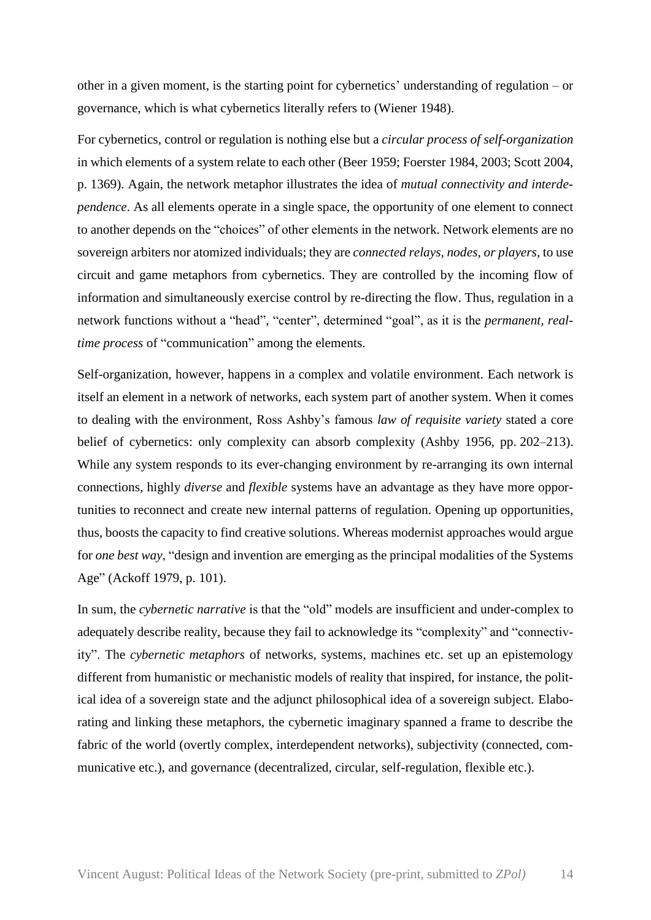other in a given moment, is the starting point for cybernetics' understanding of regulation – or governance, which is what cybernetics literally refers to (Wiener 1948).

For cybernetics, control or regulation is nothing else but a *circular process of self-organization* in which elements of a system relate to each other (Beer 1959; Foerster 1984, 2003; Scott 2004, p. 1369). Again, the network metaphor illustrates the idea of *mutual connectivity and interdependence*. As all elements operate in a single space, the opportunity of one element to connect to another depends on the "choices" of other elements in the network. Network elements are no sovereign arbiters nor atomized individuals; they are *connected relays, nodes, or players*, to use circuit and game metaphors from cybernetics. They are controlled by the incoming flow of information and simultaneously exercise control by re-directing the flow. Thus, regulation in a network functions without a "head", "center", determined "goal", as it is the *permanent, realtime process* of "communication" among the elements.

Self-organization, however, happens in a complex and volatile environment. Each network is itself an element in a network of networks, each system part of another system. When it comes to dealing with the environment, Ross Ashby's famous *law of requisite variety* stated a core belief of cybernetics: only complexity can absorb complexity (Ashby 1956, pp. 202–213). While any system responds to its ever-changing environment by re-arranging its own internal connections, highly *diverse* and *flexible* systems have an advantage as they have more opportunities to reconnect and create new internal patterns of regulation. Opening up opportunities, thus, boosts the capacity to find creative solutions. Whereas modernist approaches would argue for *one best way*, "design and invention are emerging as the principal modalities of the Systems Age" (Ackoff 1979, p. 101).

In sum, the *cybernetic narrative* is that the "old" models are insufficient and under-complex to adequately describe reality, because they fail to acknowledge its "complexity" and "connectivity". The *cybernetic metaphors* of networks, systems, machines etc. set up an epistemology different from humanistic or mechanistic models of reality that inspired, for instance, the political idea of a sovereign state and the adjunct philosophical idea of a sovereign subject. Elaborating and linking these metaphors, the cybernetic imaginary spanned a frame to describe the fabric of the world (overtly complex, interdependent networks), subjectivity (connected, communicative etc.), and governance (decentralized, circular, self-regulation, flexible etc.).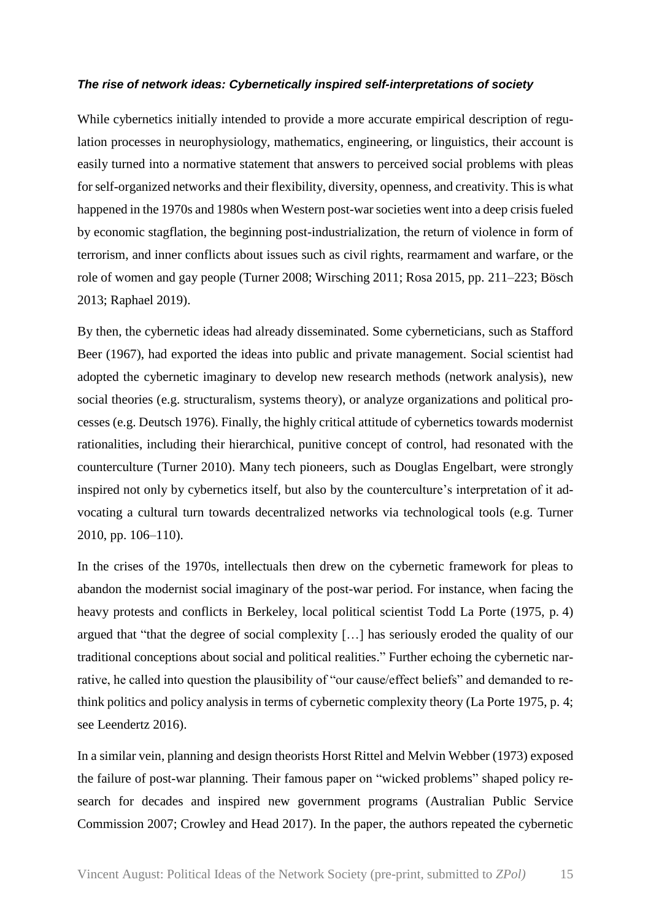### *The rise of network ideas: Cybernetically inspired self-interpretations of society*

While cybernetics initially intended to provide a more accurate empirical description of regulation processes in neurophysiology, mathematics, engineering, or linguistics, their account is easily turned into a normative statement that answers to perceived social problems with pleas for self-organized networks and their flexibility, diversity, openness, and creativity. This is what happened in the 1970s and 1980s when Western post-war societies went into a deep crisis fueled by economic stagflation, the beginning post-industrialization, the return of violence in form of terrorism, and inner conflicts about issues such as civil rights, rearmament and warfare, or the role of women and gay people (Turner 2008; Wirsching 2011; Rosa 2015, pp. 211–223; Bösch 2013; Raphael 2019).

By then, the cybernetic ideas had already disseminated. Some cyberneticians, such as Stafford Beer (1967), had exported the ideas into public and private management. Social scientist had adopted the cybernetic imaginary to develop new research methods (network analysis), new social theories (e.g. structuralism, systems theory), or analyze organizations and political processes (e.g. Deutsch 1976). Finally, the highly critical attitude of cybernetics towards modernist rationalities, including their hierarchical, punitive concept of control, had resonated with the counterculture (Turner 2010). Many tech pioneers, such as Douglas Engelbart, were strongly inspired not only by cybernetics itself, but also by the counterculture's interpretation of it advocating a cultural turn towards decentralized networks via technological tools (e.g. Turner 2010, pp. 106–110).

In the crises of the 1970s, intellectuals then drew on the cybernetic framework for pleas to abandon the modernist social imaginary of the post-war period. For instance, when facing the heavy protests and conflicts in Berkeley, local political scientist Todd La Porte (1975, p. 4) argued that "that the degree of social complexity […] has seriously eroded the quality of our traditional conceptions about social and political realities." Further echoing the cybernetic narrative, he called into question the plausibility of "our cause/effect beliefs" and demanded to rethink politics and policy analysis in terms of cybernetic complexity theory (La Porte 1975, p. 4; see Leendertz 2016).

In a similar vein, planning and design theorists Horst Rittel and Melvin Webber (1973) exposed the failure of post-war planning. Their famous paper on "wicked problems" shaped policy research for decades and inspired new government programs (Australian Public Service Commission 2007; Crowley and Head 2017). In the paper, the authors repeated the cybernetic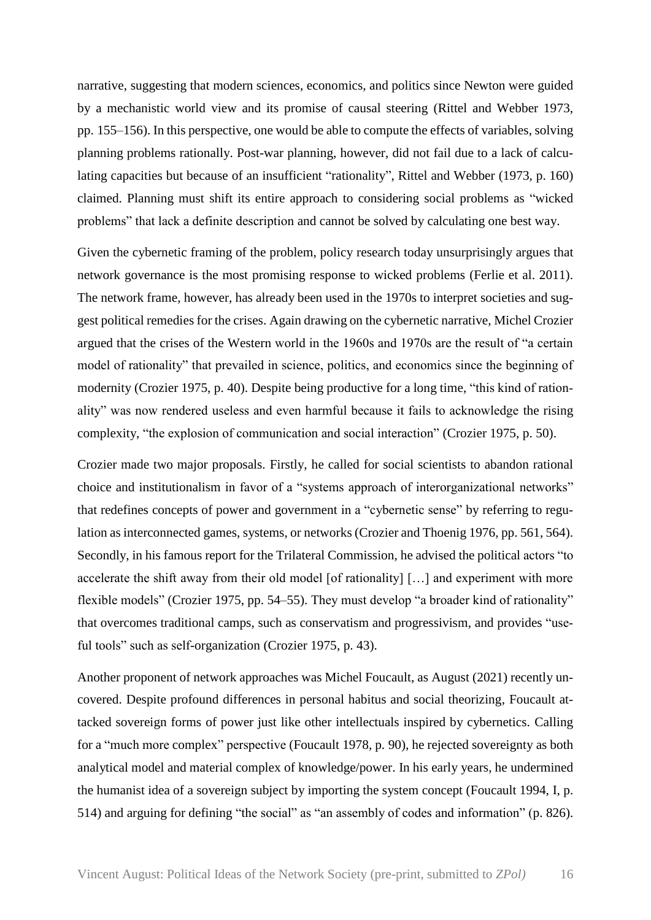narrative, suggesting that modern sciences, economics, and politics since Newton were guided by a mechanistic world view and its promise of causal steering (Rittel and Webber 1973, pp. 155–156). In this perspective, one would be able to compute the effects of variables, solving planning problems rationally. Post-war planning, however, did not fail due to a lack of calculating capacities but because of an insufficient "rationality", Rittel and Webber (1973, p. 160) claimed. Planning must shift its entire approach to considering social problems as "wicked problems" that lack a definite description and cannot be solved by calculating one best way.

Given the cybernetic framing of the problem, policy research today unsurprisingly argues that network governance is the most promising response to wicked problems (Ferlie et al. 2011). The network frame, however, has already been used in the 1970s to interpret societies and suggest political remedies for the crises. Again drawing on the cybernetic narrative, Michel Crozier argued that the crises of the Western world in the 1960s and 1970s are the result of "a certain model of rationality" that prevailed in science, politics, and economics since the beginning of modernity (Crozier 1975, p. 40). Despite being productive for a long time, "this kind of rationality" was now rendered useless and even harmful because it fails to acknowledge the rising complexity, "the explosion of communication and social interaction" (Crozier 1975, p. 50).

Crozier made two major proposals. Firstly, he called for social scientists to abandon rational choice and institutionalism in favor of a "systems approach of interorganizational networks" that redefines concepts of power and government in a "cybernetic sense" by referring to regulation as interconnected games, systems, or networks (Crozier and Thoenig 1976, pp. 561, 564). Secondly, in his famous report for the Trilateral Commission, he advised the political actors "to accelerate the shift away from their old model [of rationality] [...] and experiment with more flexible models" (Crozier 1975, pp. 54–55). They must develop "a broader kind of rationality" that overcomes traditional camps, such as conservatism and progressivism, and provides "useful tools" such as self-organization (Crozier 1975, p. 43).

Another proponent of network approaches was Michel Foucault, as August (2021) recently uncovered. Despite profound differences in personal habitus and social theorizing, Foucault attacked sovereign forms of power just like other intellectuals inspired by cybernetics. Calling for a "much more complex" perspective (Foucault 1978, p. 90), he rejected sovereignty as both analytical model and material complex of knowledge/power. In his early years, he undermined the humanist idea of a sovereign subject by importing the system concept (Foucault 1994, I, p. 514) and arguing for defining "the social" as "an assembly of codes and information" (p. 826).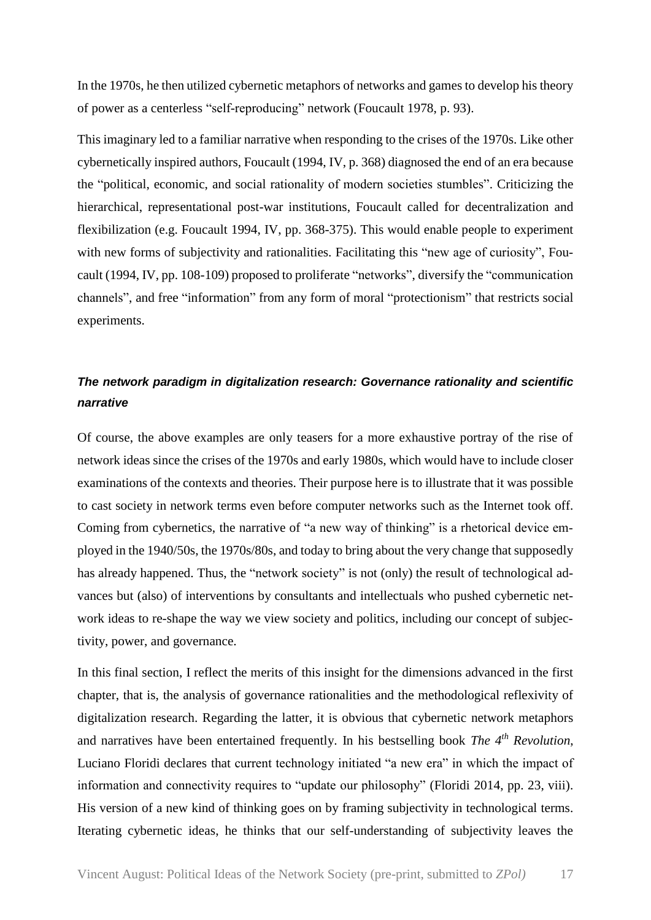In the 1970s, he then utilized cybernetic metaphors of networks and games to develop his theory of power as a centerless "self-reproducing" network (Foucault 1978, p. 93).

This imaginary led to a familiar narrative when responding to the crises of the 1970s. Like other cybernetically inspired authors, Foucault (1994, IV, p. 368) diagnosed the end of an era because the "political, economic, and social rationality of modern societies stumbles". Criticizing the hierarchical, representational post-war institutions, Foucault called for decentralization and flexibilization (e.g. Foucault 1994, IV, pp. 368-375). This would enable people to experiment with new forms of subjectivity and rationalities. Facilitating this "new age of curiosity", Foucault (1994, IV, pp. 108-109) proposed to proliferate "networks", diversify the "communication channels", and free "information" from any form of moral "protectionism" that restricts social experiments.

# *The network paradigm in digitalization research: Governance rationality and scientific narrative*

Of course, the above examples are only teasers for a more exhaustive portray of the rise of network ideas since the crises of the 1970s and early 1980s, which would have to include closer examinations of the contexts and theories. Their purpose here is to illustrate that it was possible to cast society in network terms even before computer networks such as the Internet took off. Coming from cybernetics, the narrative of "a new way of thinking" is a rhetorical device employed in the 1940/50s, the 1970s/80s, and today to bring about the very change that supposedly has already happened. Thus, the "network society" is not (only) the result of technological advances but (also) of interventions by consultants and intellectuals who pushed cybernetic network ideas to re-shape the way we view society and politics, including our concept of subjectivity, power, and governance.

In this final section, I reflect the merits of this insight for the dimensions advanced in the first chapter, that is, the analysis of governance rationalities and the methodological reflexivity of digitalization research. Regarding the latter, it is obvious that cybernetic network metaphors and narratives have been entertained frequently. In his bestselling book *The 4th Revolution*, Luciano Floridi declares that current technology initiated "a new era" in which the impact of information and connectivity requires to "update our philosophy" (Floridi 2014, pp. 23, viii). His version of a new kind of thinking goes on by framing subjectivity in technological terms. Iterating cybernetic ideas, he thinks that our self-understanding of subjectivity leaves the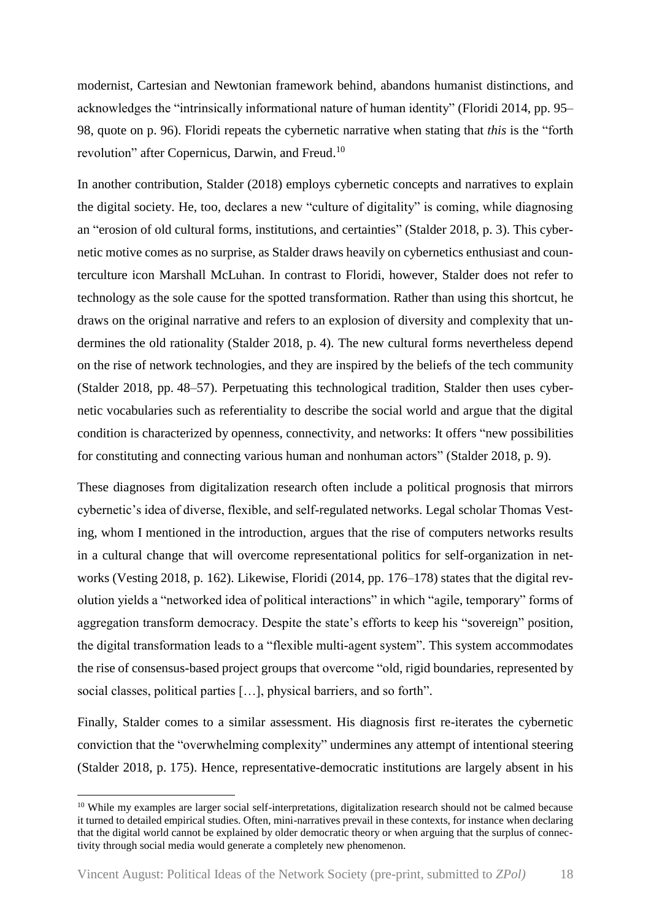modernist, Cartesian and Newtonian framework behind, abandons humanist distinctions, and acknowledges the "intrinsically informational nature of human identity" (Floridi 2014, pp. 95– 98, quote on p. 96). Floridi repeats the cybernetic narrative when stating that *this* is the "forth revolution" after Copernicus, Darwin, and Freud.<sup>10</sup>

In another contribution, Stalder (2018) employs cybernetic concepts and narratives to explain the digital society. He, too, declares a new "culture of digitality" is coming, while diagnosing an "erosion of old cultural forms, institutions, and certainties" (Stalder 2018, p. 3). This cybernetic motive comes as no surprise, as Stalder draws heavily on cybernetics enthusiast and counterculture icon Marshall McLuhan. In contrast to Floridi, however, Stalder does not refer to technology as the sole cause for the spotted transformation. Rather than using this shortcut, he draws on the original narrative and refers to an explosion of diversity and complexity that undermines the old rationality (Stalder 2018, p. 4). The new cultural forms nevertheless depend on the rise of network technologies, and they are inspired by the beliefs of the tech community (Stalder 2018, pp. 48–57). Perpetuating this technological tradition, Stalder then uses cybernetic vocabularies such as referentiality to describe the social world and argue that the digital condition is characterized by openness, connectivity, and networks: It offers "new possibilities for constituting and connecting various human and nonhuman actors" (Stalder 2018, p. 9).

These diagnoses from digitalization research often include a political prognosis that mirrors cybernetic's idea of diverse, flexible, and self-regulated networks. Legal scholar Thomas Vesting, whom I mentioned in the introduction, argues that the rise of computers networks results in a cultural change that will overcome representational politics for self-organization in networks (Vesting 2018, p. 162). Likewise, Floridi (2014, pp. 176–178) states that the digital revolution yields a "networked idea of political interactions" in which "agile, temporary" forms of aggregation transform democracy. Despite the state's efforts to keep his "sovereign" position, the digital transformation leads to a "flexible multi-agent system". This system accommodates the rise of consensus-based project groups that overcome "old, rigid boundaries, represented by social classes, political parties […], physical barriers, and so forth".

Finally, Stalder comes to a similar assessment. His diagnosis first re-iterates the cybernetic conviction that the "overwhelming complexity" undermines any attempt of intentional steering (Stalder 2018, p. 175). Hence, representative-democratic institutions are largely absent in his

<sup>&</sup>lt;sup>10</sup> While my examples are larger social self-interpretations, digitalization research should not be calmed because it turned to detailed empirical studies. Often, mini-narratives prevail in these contexts, for instance when declaring that the digital world cannot be explained by older democratic theory or when arguing that the surplus of connectivity through social media would generate a completely new phenomenon.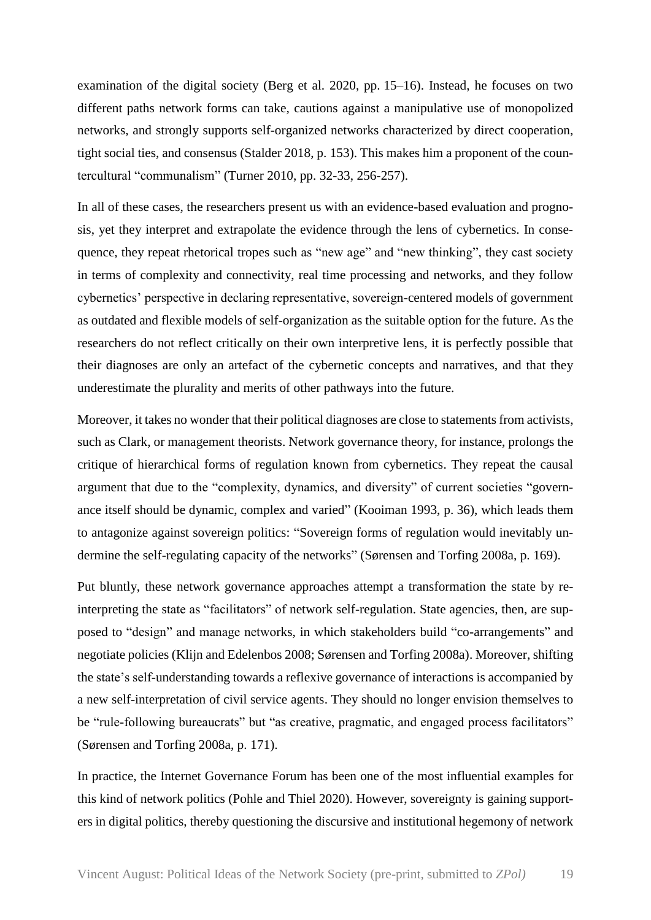examination of the digital society (Berg et al. 2020, pp. 15–16). Instead, he focuses on two different paths network forms can take, cautions against a manipulative use of monopolized networks, and strongly supports self-organized networks characterized by direct cooperation, tight social ties, and consensus (Stalder 2018, p. 153). This makes him a proponent of the countercultural "communalism" (Turner 2010, pp. 32-33, 256-257).

In all of these cases, the researchers present us with an evidence-based evaluation and prognosis, yet they interpret and extrapolate the evidence through the lens of cybernetics. In consequence, they repeat rhetorical tropes such as "new age" and "new thinking", they cast society in terms of complexity and connectivity, real time processing and networks, and they follow cybernetics' perspective in declaring representative, sovereign-centered models of government as outdated and flexible models of self-organization as the suitable option for the future. As the researchers do not reflect critically on their own interpretive lens, it is perfectly possible that their diagnoses are only an artefact of the cybernetic concepts and narratives, and that they underestimate the plurality and merits of other pathways into the future.

Moreover, it takes no wonder that their political diagnoses are close to statements from activists, such as Clark, or management theorists. Network governance theory, for instance, prolongs the critique of hierarchical forms of regulation known from cybernetics. They repeat the causal argument that due to the "complexity, dynamics, and diversity" of current societies "governance itself should be dynamic, complex and varied" (Kooiman 1993, p. 36), which leads them to antagonize against sovereign politics: "Sovereign forms of regulation would inevitably undermine the self-regulating capacity of the networks" (Sørensen and Torfing 2008a, p. 169).

Put bluntly, these network governance approaches attempt a transformation the state by reinterpreting the state as "facilitators" of network self-regulation. State agencies, then, are supposed to "design" and manage networks, in which stakeholders build "co-arrangements" and negotiate policies (Klijn and Edelenbos 2008; Sørensen and Torfing 2008a). Moreover, shifting the state's self-understanding towards a reflexive governance of interactions is accompanied by a new self-interpretation of civil service agents. They should no longer envision themselves to be "rule-following bureaucrats" but "as creative, pragmatic, and engaged process facilitators" (Sørensen and Torfing 2008a, p. 171).

In practice, the Internet Governance Forum has been one of the most influential examples for this kind of network politics (Pohle and Thiel 2020). However, sovereignty is gaining supporters in digital politics, thereby questioning the discursive and institutional hegemony of network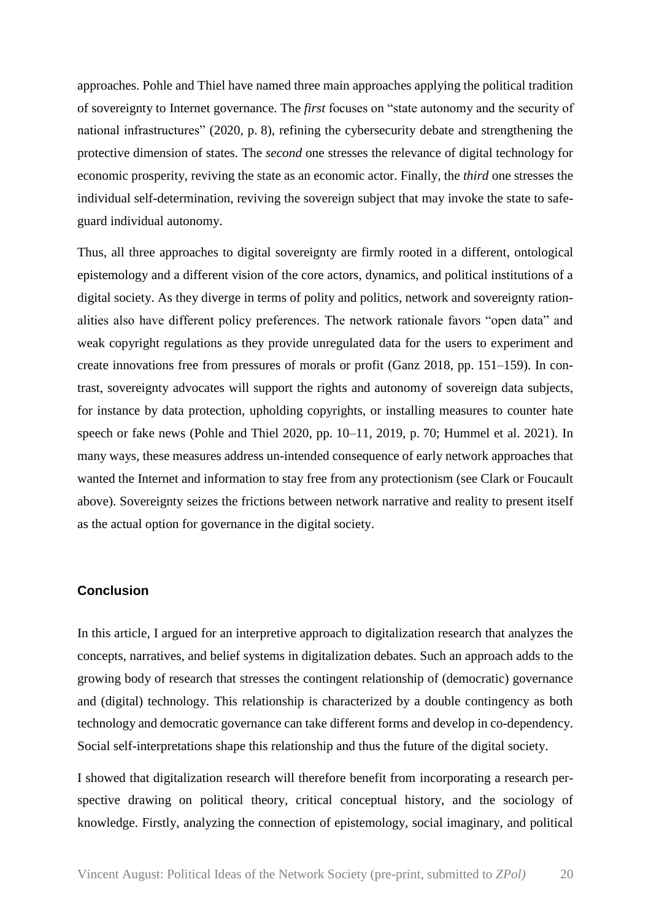approaches. Pohle and Thiel have named three main approaches applying the political tradition of sovereignty to Internet governance. The *first* focuses on "state autonomy and the security of national infrastructures" (2020, p. 8), refining the cybersecurity debate and strengthening the protective dimension of states. The *second* one stresses the relevance of digital technology for economic prosperity, reviving the state as an economic actor. Finally, the *third* one stresses the individual self-determination, reviving the sovereign subject that may invoke the state to safeguard individual autonomy.

Thus, all three approaches to digital sovereignty are firmly rooted in a different, ontological epistemology and a different vision of the core actors, dynamics, and political institutions of a digital society. As they diverge in terms of polity and politics, network and sovereignty rationalities also have different policy preferences. The network rationale favors "open data" and weak copyright regulations as they provide unregulated data for the users to experiment and create innovations free from pressures of morals or profit (Ganz 2018, pp. 151–159). In contrast, sovereignty advocates will support the rights and autonomy of sovereign data subjects, for instance by data protection, upholding copyrights, or installing measures to counter hate speech or fake news (Pohle and Thiel 2020, pp. 10–11, 2019, p. 70; Hummel et al. 2021). In many ways, these measures address un-intended consequence of early network approaches that wanted the Internet and information to stay free from any protectionism (see Clark or Foucault above). Sovereignty seizes the frictions between network narrative and reality to present itself as the actual option for governance in the digital society.

# **Conclusion**

In this article, I argued for an interpretive approach to digitalization research that analyzes the concepts, narratives, and belief systems in digitalization debates. Such an approach adds to the growing body of research that stresses the contingent relationship of (democratic) governance and (digital) technology. This relationship is characterized by a double contingency as both technology and democratic governance can take different forms and develop in co-dependency. Social self-interpretations shape this relationship and thus the future of the digital society.

I showed that digitalization research will therefore benefit from incorporating a research perspective drawing on political theory, critical conceptual history, and the sociology of knowledge. Firstly, analyzing the connection of epistemology, social imaginary, and political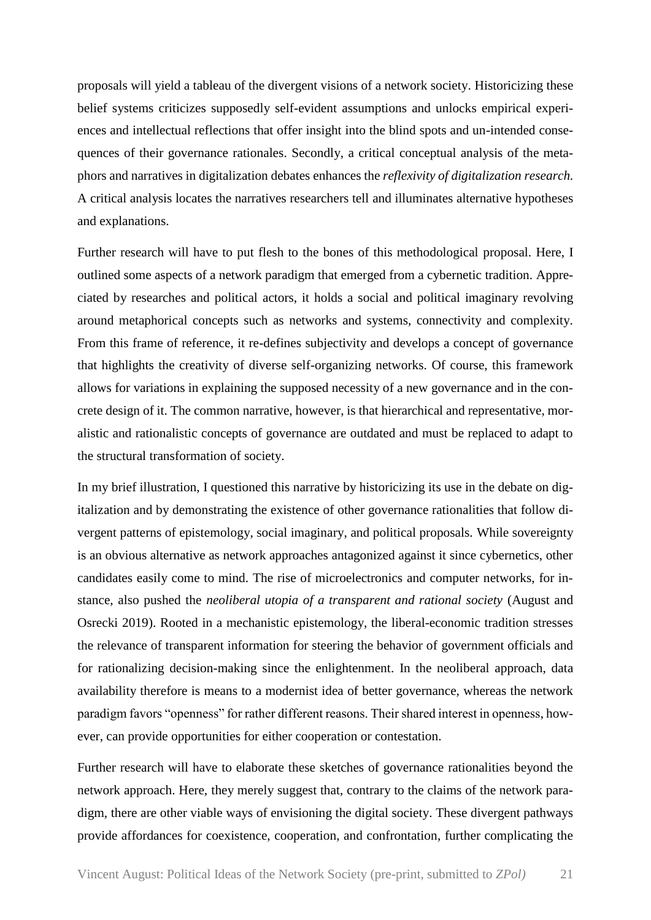proposals will yield a tableau of the divergent visions of a network society. Historicizing these belief systems criticizes supposedly self-evident assumptions and unlocks empirical experiences and intellectual reflections that offer insight into the blind spots and un-intended consequences of their governance rationales. Secondly, a critical conceptual analysis of the metaphors and narratives in digitalization debates enhances the *reflexivity of digitalization research.*  A critical analysis locates the narratives researchers tell and illuminates alternative hypotheses and explanations.

Further research will have to put flesh to the bones of this methodological proposal. Here, I outlined some aspects of a network paradigm that emerged from a cybernetic tradition. Appreciated by researches and political actors, it holds a social and political imaginary revolving around metaphorical concepts such as networks and systems, connectivity and complexity. From this frame of reference, it re-defines subjectivity and develops a concept of governance that highlights the creativity of diverse self-organizing networks. Of course, this framework allows for variations in explaining the supposed necessity of a new governance and in the concrete design of it. The common narrative, however, is that hierarchical and representative, moralistic and rationalistic concepts of governance are outdated and must be replaced to adapt to the structural transformation of society.

In my brief illustration, I questioned this narrative by historicizing its use in the debate on digitalization and by demonstrating the existence of other governance rationalities that follow divergent patterns of epistemology, social imaginary, and political proposals. While sovereignty is an obvious alternative as network approaches antagonized against it since cybernetics, other candidates easily come to mind. The rise of microelectronics and computer networks, for instance, also pushed the *neoliberal utopia of a transparent and rational society* (August and Osrecki 2019). Rooted in a mechanistic epistemology, the liberal-economic tradition stresses the relevance of transparent information for steering the behavior of government officials and for rationalizing decision-making since the enlightenment. In the neoliberal approach, data availability therefore is means to a modernist idea of better governance, whereas the network paradigm favors "openness" for rather different reasons. Their shared interest in openness, however, can provide opportunities for either cooperation or contestation.

Further research will have to elaborate these sketches of governance rationalities beyond the network approach. Here, they merely suggest that, contrary to the claims of the network paradigm, there are other viable ways of envisioning the digital society. These divergent pathways provide affordances for coexistence, cooperation, and confrontation, further complicating the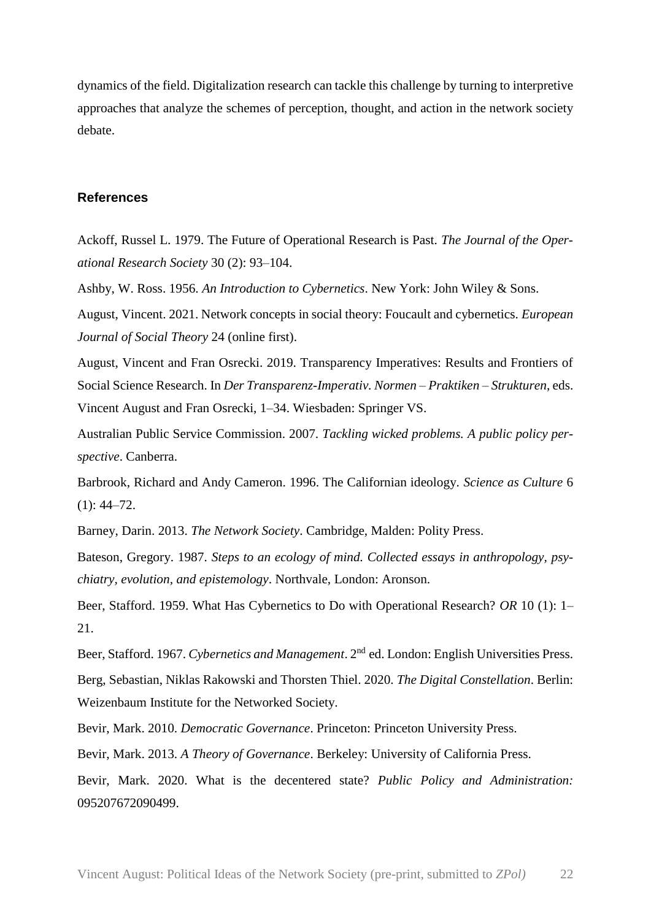dynamics of the field. Digitalization research can tackle this challenge by turning to interpretive approaches that analyze the schemes of perception, thought, and action in the network society debate.

## **References**

Ackoff, Russel L. 1979. The Future of Operational Research is Past. *The Journal of the Operational Research Society* 30 (2): 93–104.

Ashby, W. Ross. 1956. *An Introduction to Cybernetics*. New York: John Wiley & Sons.

August, Vincent. 2021. Network concepts in social theory: Foucault and cybernetics. *European Journal of Social Theory* 24 (online first).

August, Vincent and Fran Osrecki. 2019. Transparency Imperatives: Results and Frontiers of Social Science Research. In *Der Transparenz-Imperativ. Normen – Praktiken – Strukturen*, eds. Vincent August and Fran Osrecki, 1–34. Wiesbaden: Springer VS.

Australian Public Service Commission. 2007. *Tackling wicked problems. A public policy perspective*. Canberra.

Barbrook, Richard and Andy Cameron. 1996. The Californian ideology. *Science as Culture* 6  $(1): 44 - 72.$ 

Barney, Darin. 2013. *The Network Society*. Cambridge, Malden: Polity Press.

Bateson, Gregory. 1987. *Steps to an ecology of mind. Collected essays in anthropology, psychiatry, evolution, and epistemology*. Northvale, London: Aronson.

Beer, Stafford. 1959. What Has Cybernetics to Do with Operational Research? *OR* 10 (1): 1– 21.

Beer, Stafford. 1967. *Cybernetics and Management*. 2nd ed. London: English Universities Press. Berg, Sebastian, Niklas Rakowski and Thorsten Thiel. 2020. *The Digital Constellation*. Berlin: Weizenbaum Institute for the Networked Society.

Bevir, Mark. 2010. *Democratic Governance*. Princeton: Princeton University Press.

Bevir, Mark. 2013. *A Theory of Governance*. Berkeley: University of California Press.

Bevir, Mark. 2020. What is the decentered state? *Public Policy and Administration:*  095207672090499.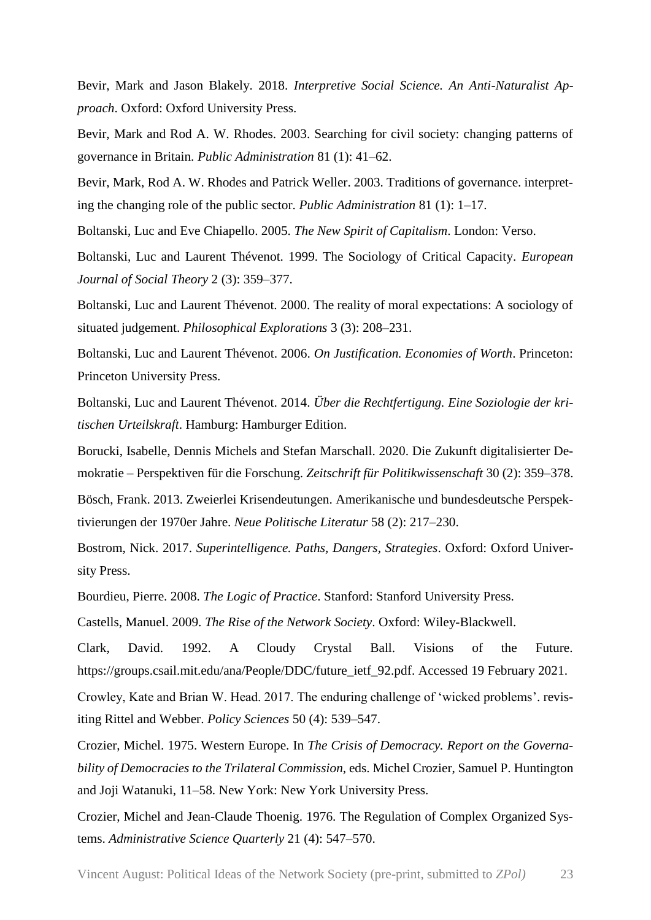Bevir, Mark and Jason Blakely. 2018. *Interpretive Social Science. An Anti-Naturalist Approach*. Oxford: Oxford University Press.

Bevir, Mark and Rod A. W. Rhodes. 2003. Searching for civil society: changing patterns of governance in Britain. *Public Administration* 81 (1): 41–62.

Bevir, Mark, Rod A. W. Rhodes and Patrick Weller. 2003. Traditions of governance. interpreting the changing role of the public sector. *Public Administration* 81 (1): 1–17.

Boltanski, Luc and Eve Chiapello. 2005. *The New Spirit of Capitalism*. London: Verso.

Boltanski, Luc and Laurent Thévenot. 1999. The Sociology of Critical Capacity. *European Journal of Social Theory* 2 (3): 359–377.

Boltanski, Luc and Laurent Thévenot. 2000. The reality of moral expectations: A sociology of situated judgement. *Philosophical Explorations* 3 (3): 208–231.

Boltanski, Luc and Laurent Thévenot. 2006. *On Justification. Economies of Worth*. Princeton: Princeton University Press.

Boltanski, Luc and Laurent Thévenot. 2014. *Über die Rechtfertigung. Eine Soziologie der kritischen Urteilskraft*. Hamburg: Hamburger Edition.

Borucki, Isabelle, Dennis Michels and Stefan Marschall. 2020. Die Zukunft digitalisierter Demokratie – Perspektiven für die Forschung. *Zeitschrift für Politikwissenschaft* 30 (2): 359–378.

Bösch, Frank. 2013. Zweierlei Krisendeutungen. Amerikanische und bundesdeutsche Perspektivierungen der 1970er Jahre. *Neue Politische Literatur* 58 (2): 217–230.

Bostrom, Nick. 2017. *Superintelligence. Paths, Dangers, Strategies*. Oxford: Oxford University Press.

Bourdieu, Pierre. 2008. *The Logic of Practice*. Stanford: Stanford University Press.

Castells, Manuel. 2009. *The Rise of the Network Society*. Oxford: Wiley-Blackwell.

Clark, David. 1992. A Cloudy Crystal Ball. Visions of the Future. https://groups.csail.mit.edu/ana/People/DDC/future\_ietf\_92.pdf. Accessed 19 February 2021.

Crowley, Kate and Brian W. Head. 2017. The enduring challenge of 'wicked problems'. revisiting Rittel and Webber. *Policy Sciences* 50 (4): 539–547.

Crozier, Michel. 1975. Western Europe. In *The Crisis of Democracy. Report on the Governability of Democracies to the Trilateral Commission*, eds. Michel Crozier, Samuel P. Huntington and Joji Watanuki, 11–58. New York: New York University Press.

Crozier, Michel and Jean-Claude Thoenig. 1976. The Regulation of Complex Organized Systems. *Administrative Science Quarterly* 21 (4): 547–570.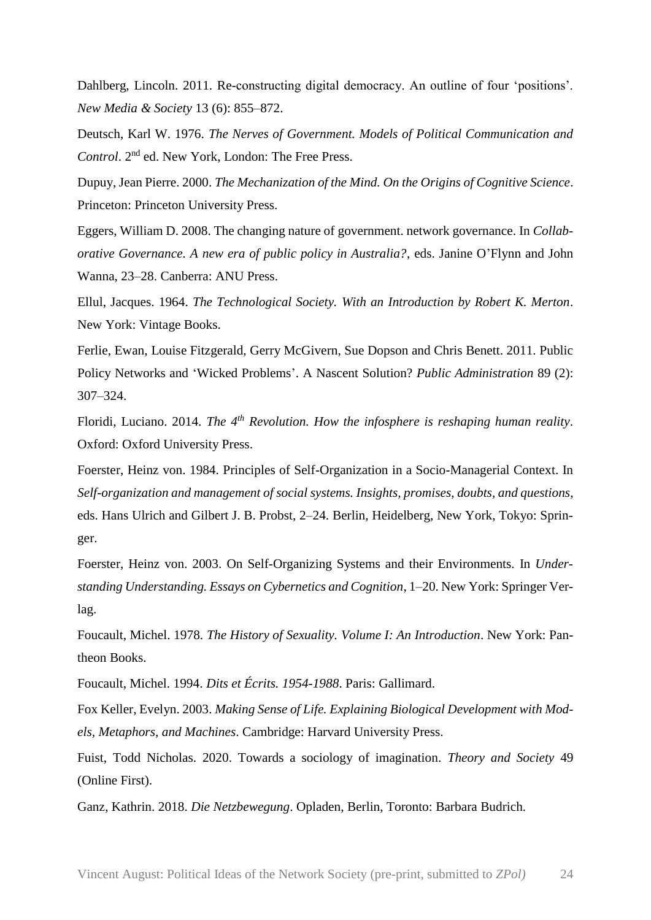Dahlberg, Lincoln. 2011. Re-constructing digital democracy. An outline of four 'positions'. *New Media & Society* 13 (6): 855–872.

Deutsch, Karl W. 1976. *The Nerves of Government. Models of Political Communication and Control*. 2nd ed. New York, London: The Free Press.

Dupuy, Jean Pierre. 2000. *The Mechanization of the Mind. On the Origins of Cognitive Science*. Princeton: Princeton University Press.

Eggers, William D. 2008. The changing nature of government. network governance. In *Collaborative Governance. A new era of public policy in Australia?*, eds. Janine O'Flynn and John Wanna, 23–28. Canberra: ANU Press.

Ellul, Jacques. 1964. *The Technological Society. With an Introduction by Robert K. Merton*. New York: Vintage Books.

Ferlie, Ewan, Louise Fitzgerald, Gerry McGivern, Sue Dopson and Chris Benett. 2011. Public Policy Networks and 'Wicked Problems'. A Nascent Solution? *Public Administration* 89 (2): 307–324.

Floridi, Luciano. 2014. *The 4th Revolution. How the infosphere is reshaping human reality*. Oxford: Oxford University Press.

Foerster, Heinz von. 1984. Principles of Self-Organization in a Socio-Managerial Context. In *Self-organization and management of social systems. Insights, promises, doubts, and questions*, eds. Hans Ulrich and Gilbert J. B. Probst, 2–24. Berlin, Heidelberg, New York, Tokyo: Springer.

Foerster, Heinz von. 2003. On Self-Organizing Systems and their Environments. In *Understanding Understanding. Essays on Cybernetics and Cognition*, 1–20. New York: Springer Verlag.

Foucault, Michel. 1978. *The History of Sexuality. Volume I: An Introduction*. New York: Pantheon Books.

Foucault, Michel. 1994. *Dits et Écrits. 1954-1988*. Paris: Gallimard.

Fox Keller, Evelyn. 2003. *Making Sense of Life. Explaining Biological Development with Models, Metaphors, and Machines*. Cambridge: Harvard University Press.

Fuist, Todd Nicholas. 2020. Towards a sociology of imagination. *Theory and Society* 49 (Online First).

Ganz, Kathrin. 2018. *Die Netzbewegung*. Opladen, Berlin, Toronto: Barbara Budrich.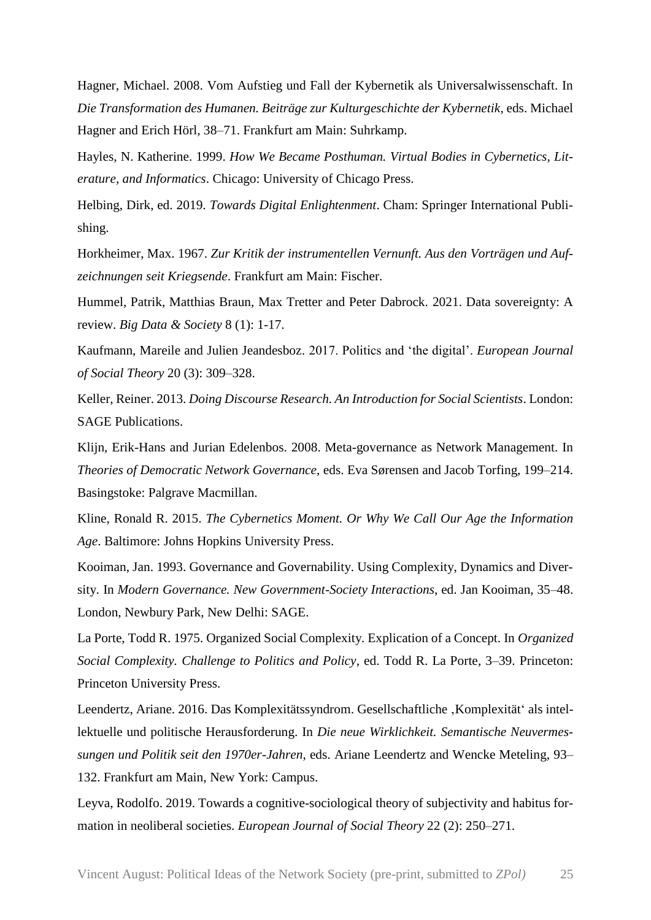Hagner, Michael. 2008. Vom Aufstieg und Fall der Kybernetik als Universalwissenschaft. In *Die Transformation des Humanen. Beiträge zur Kulturgeschichte der Kybernetik*, eds. Michael Hagner and Erich Hörl, 38–71. Frankfurt am Main: Suhrkamp.

Hayles, N. Katherine. 1999. *How We Became Posthuman. Virtual Bodies in Cybernetics, Literature, and Informatics*. Chicago: University of Chicago Press.

Helbing, Dirk, ed. 2019. *Towards Digital Enlightenment*. Cham: Springer International Publishing.

Horkheimer, Max. 1967. *Zur Kritik der instrumentellen Vernunft. Aus den Vorträgen und Aufzeichnungen seit Kriegsende*. Frankfurt am Main: Fischer.

Hummel, Patrik, Matthias Braun, Max Tretter and Peter Dabrock. 2021. Data sovereignty: A review. *Big Data & Society* 8 (1): 1-17.

Kaufmann, Mareile and Julien Jeandesboz. 2017. Politics and 'the digital'. *European Journal of Social Theory* 20 (3): 309–328.

Keller, Reiner. 2013. *Doing Discourse Research. An Introduction for Social Scientists*. London: SAGE Publications.

Klijn, Erik-Hans and Jurian Edelenbos. 2008. Meta-governance as Network Management. In *Theories of Democratic Network Governance*, eds. Eva Sørensen and Jacob Torfing, 199–214. Basingstoke: Palgrave Macmillan.

Kline, Ronald R. 2015. *The Cybernetics Moment. Or Why We Call Our Age the Information Age*. Baltimore: Johns Hopkins University Press.

Kooiman, Jan. 1993. Governance and Governability. Using Complexity, Dynamics and Diversity. In *Modern Governance. New Government-Society Interactions*, ed. Jan Kooiman, 35–48. London, Newbury Park, New Delhi: SAGE.

La Porte, Todd R. 1975. Organized Social Complexity. Explication of a Concept. In *Organized Social Complexity. Challenge to Politics and Policy*, ed. Todd R. La Porte, 3–39. Princeton: Princeton University Press.

Leendertz, Ariane. 2016. Das Komplexitätssyndrom. Gesellschaftliche , Komplexität' als intellektuelle und politische Herausforderung. In *Die neue Wirklichkeit. Semantische Neuvermessungen und Politik seit den 1970er-Jahren*, eds. Ariane Leendertz and Wencke Meteling, 93– 132. Frankfurt am Main, New York: Campus.

Leyva, Rodolfo. 2019. Towards a cognitive-sociological theory of subjectivity and habitus formation in neoliberal societies. *European Journal of Social Theory* 22 (2): 250–271.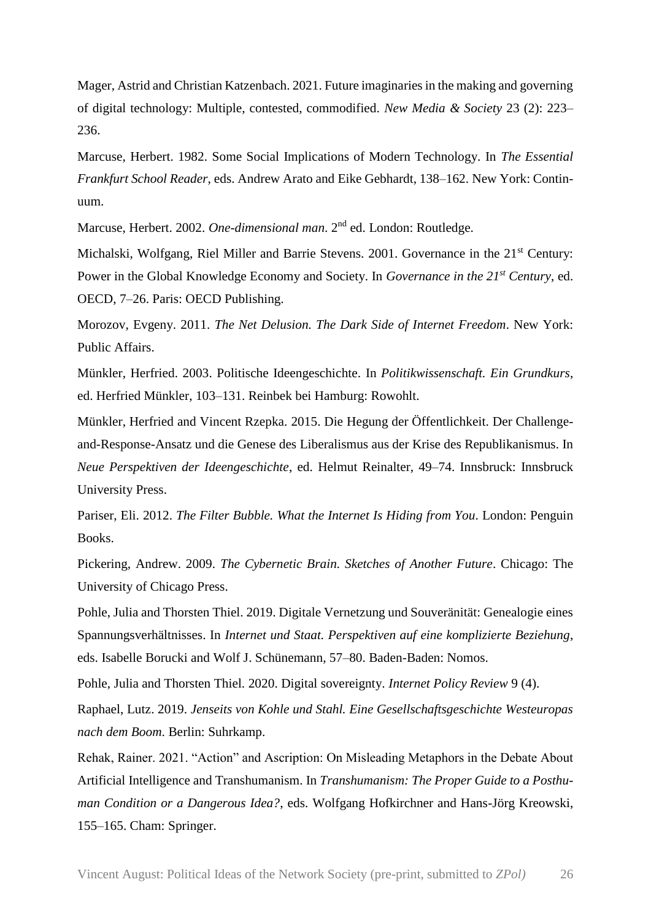Mager, Astrid and Christian Katzenbach. 2021. Future imaginaries in the making and governing of digital technology: Multiple, contested, commodified. *New Media & Society* 23 (2): 223– 236.

Marcuse, Herbert. 1982. Some Social Implications of Modern Technology. In *The Essential Frankfurt School Reader*, eds. Andrew Arato and Eike Gebhardt, 138–162. New York: Continuum.

Marcuse, Herbert. 2002. *One-dimensional man*. 2nd ed. London: Routledge.

Michalski, Wolfgang, Riel Miller and Barrie Stevens. 2001. Governance in the 21<sup>st</sup> Century: Power in the Global Knowledge Economy and Society. In *Governance in the 21st Century*, ed. OECD, 7–26. Paris: OECD Publishing.

Morozov, Evgeny. 2011. *The Net Delusion. The Dark Side of Internet Freedom*. New York: Public Affairs.

Münkler, Herfried. 2003. Politische Ideengeschichte. In *Politikwissenschaft. Ein Grundkurs*, ed. Herfried Münkler, 103–131. Reinbek bei Hamburg: Rowohlt.

Münkler, Herfried and Vincent Rzepka. 2015. Die Hegung der Öffentlichkeit. Der Challengeand-Response-Ansatz und die Genese des Liberalismus aus der Krise des Republikanismus. In *Neue Perspektiven der Ideengeschichte*, ed. Helmut Reinalter, 49–74. Innsbruck: Innsbruck University Press.

Pariser, Eli. 2012. *The Filter Bubble. What the Internet Is Hiding from You*. London: Penguin Books.

Pickering, Andrew. 2009. *The Cybernetic Brain. Sketches of Another Future*. Chicago: The University of Chicago Press.

Pohle, Julia and Thorsten Thiel. 2019. Digitale Vernetzung und Souveränität: Genealogie eines Spannungsverhältnisses. In *Internet und Staat. Perspektiven auf eine komplizierte Beziehung*, eds. Isabelle Borucki and Wolf J. Schünemann, 57–80. Baden-Baden: Nomos.

Pohle, Julia and Thorsten Thiel. 2020. Digital sovereignty. *Internet Policy Review* 9 (4).

Raphael, Lutz. 2019. *Jenseits von Kohle und Stahl. Eine Gesellschaftsgeschichte Westeuropas nach dem Boom*. Berlin: Suhrkamp.

Rehak, Rainer. 2021. "Action" and Ascription: On Misleading Metaphors in the Debate About Artificial Intelligence and Transhumanism. In *Transhumanism: The Proper Guide to a Posthuman Condition or a Dangerous Idea?*, eds. Wolfgang Hofkirchner and Hans-Jörg Kreowski, 155–165. Cham: Springer.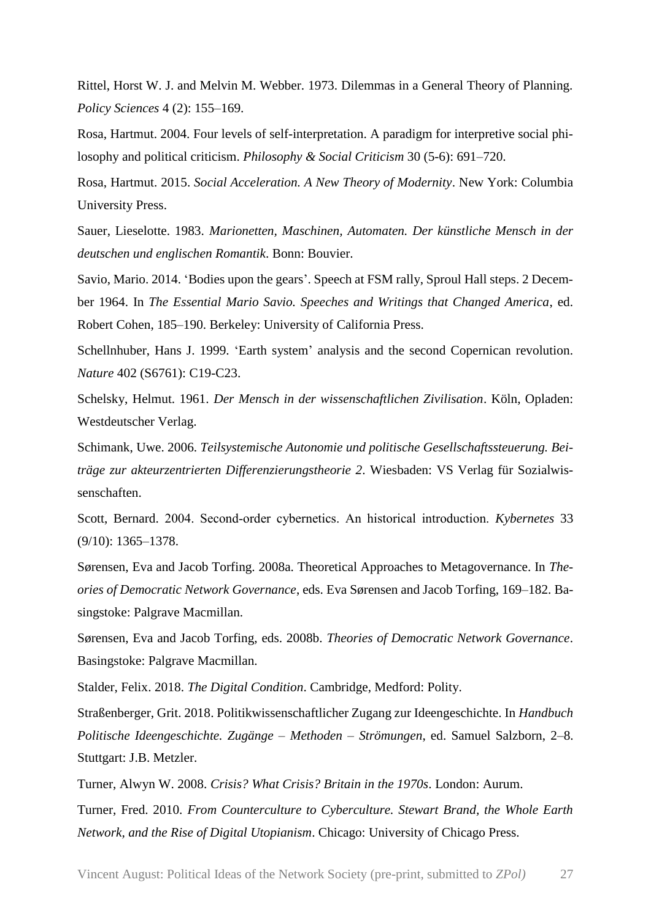Rittel, Horst W. J. and Melvin M. Webber. 1973. Dilemmas in a General Theory of Planning. *Policy Sciences* 4 (2): 155–169.

Rosa, Hartmut. 2004. Four levels of self-interpretation. A paradigm for interpretive social philosophy and political criticism. *Philosophy & Social Criticism* 30 (5-6): 691–720.

Rosa, Hartmut. 2015. *Social Acceleration. A New Theory of Modernity*. New York: Columbia University Press.

Sauer, Lieselotte. 1983. *Marionetten, Maschinen, Automaten. Der künstliche Mensch in der deutschen und englischen Romantik*. Bonn: Bouvier.

Savio, Mario. 2014. 'Bodies upon the gears'. Speech at FSM rally, Sproul Hall steps. 2 December 1964. In *The Essential Mario Savio. Speeches and Writings that Changed America*, ed. Robert Cohen, 185–190. Berkeley: University of California Press.

Schellnhuber, Hans J. 1999. 'Earth system' analysis and the second Copernican revolution. *Nature* 402 (S6761): C19-C23.

Schelsky, Helmut. 1961. *Der Mensch in der wissenschaftlichen Zivilisation*. Köln, Opladen: Westdeutscher Verlag.

Schimank, Uwe. 2006. *Teilsystemische Autonomie und politische Gesellschaftssteuerung. Beiträge zur akteurzentrierten Differenzierungstheorie 2*. Wiesbaden: VS Verlag für Sozialwissenschaften.

Scott, Bernard. 2004. Second‐order cybernetics. An historical introduction. *Kybernetes* 33 (9/10): 1365–1378.

Sørensen, Eva and Jacob Torfing. 2008a. Theoretical Approaches to Metagovernance. In *Theories of Democratic Network Governance*, eds. Eva Sørensen and Jacob Torfing, 169–182. Basingstoke: Palgrave Macmillan.

Sørensen, Eva and Jacob Torfing, eds. 2008b. *Theories of Democratic Network Governance*. Basingstoke: Palgrave Macmillan.

Stalder, Felix. 2018. *The Digital Condition*. Cambridge, Medford: Polity.

Straßenberger, Grit. 2018. Politikwissenschaftlicher Zugang zur Ideengeschichte. In *Handbuch Politische Ideengeschichte. Zugänge – Methoden – Strömungen*, ed. Samuel Salzborn, 2–8. Stuttgart: J.B. Metzler.

Turner, Alwyn W. 2008. *Crisis? What Crisis? Britain in the 1970s*. London: Aurum.

Turner, Fred. 2010. *From Counterculture to Cyberculture. Stewart Brand, the Whole Earth Network, and the Rise of Digital Utopianism*. Chicago: University of Chicago Press.